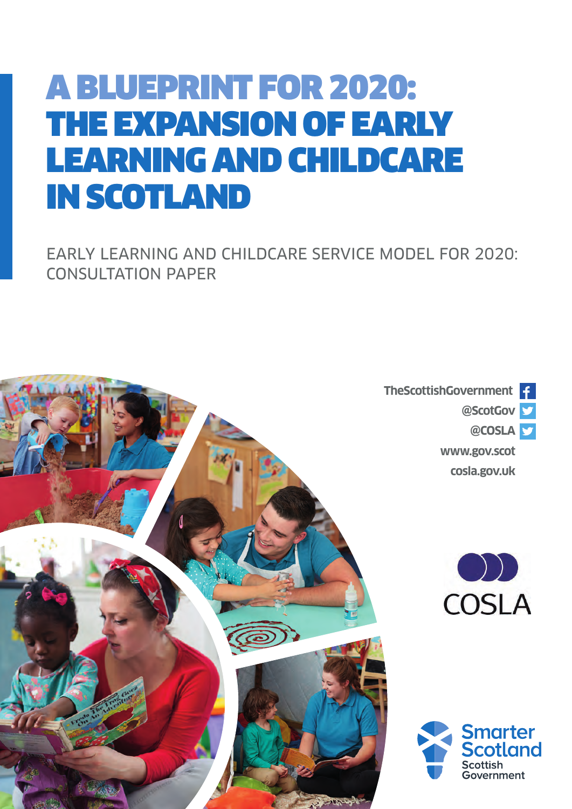# A BLUEPRINT FOR 2020: THE EXPANSION OF EARLY LEARNING AND CHILDCARE IN SCOTLAND

EARLY LEARNING AND CHILDCARE SERVICE MODEL FOR 2020: CONSULTATION PAPER

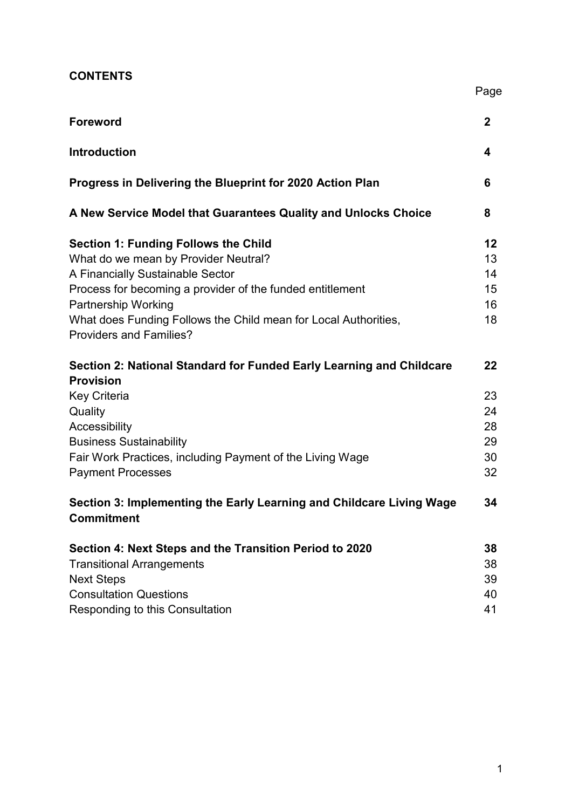| <b>CONTENTS</b> |  |
|-----------------|--|
|-----------------|--|

|                                                                                                                                                                                                                                                                                                                         | Page                                   |
|-------------------------------------------------------------------------------------------------------------------------------------------------------------------------------------------------------------------------------------------------------------------------------------------------------------------------|----------------------------------------|
| <b>Foreword</b>                                                                                                                                                                                                                                                                                                         | $\overline{2}$                         |
| <b>Introduction</b>                                                                                                                                                                                                                                                                                                     | 4                                      |
| Progress in Delivering the Blueprint for 2020 Action Plan                                                                                                                                                                                                                                                               | 6                                      |
| A New Service Model that Guarantees Quality and Unlocks Choice                                                                                                                                                                                                                                                          | 8                                      |
| <b>Section 1: Funding Follows the Child</b><br>What do we mean by Provider Neutral?<br>A Financially Sustainable Sector<br>Process for becoming a provider of the funded entitlement<br><b>Partnership Working</b><br>What does Funding Follows the Child mean for Local Authorities,<br><b>Providers and Families?</b> | 12<br>13<br>14<br>15<br>16<br>18       |
| Section 2: National Standard for Funded Early Learning and Childcare<br><b>Provision</b><br><b>Key Criteria</b><br>Quality<br>Accessibility<br><b>Business Sustainability</b><br>Fair Work Practices, including Payment of the Living Wage<br><b>Payment Processes</b>                                                  | 22<br>23<br>24<br>28<br>29<br>30<br>32 |
| Section 3: Implementing the Early Learning and Childcare Living Wage<br><b>Commitment</b>                                                                                                                                                                                                                               | 34                                     |
| Section 4: Next Steps and the Transition Period to 2020<br><b>Transitional Arrangements</b><br><b>Next Steps</b><br><b>Consultation Questions</b><br>Responding to this Consultation                                                                                                                                    | 38<br>38<br>39<br>40<br>41             |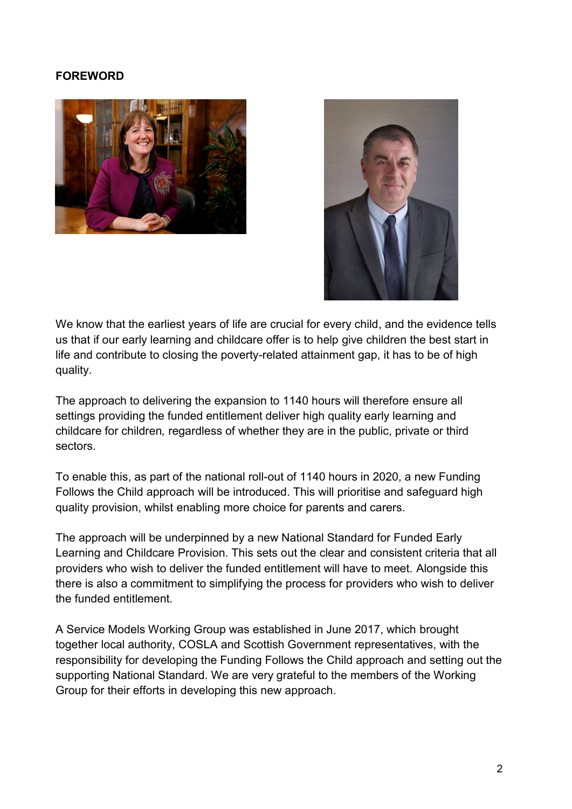#### **FOREWORD**





We know that the earliest years of life are crucial for every child, and the evidence tells us that if our early learning and childcare offer is to help give children the best start in life and contribute to closing the poverty-related attainment gap, it has to be of high quality.

The approach to delivering the expansion to 1140 hours will therefore ensure all settings providing the funded entitlement deliver high quality early learning and childcare for children*,* regardless of whether they are in the public, private or third sectors.

To enable this, as part of the national roll-out of 1140 hours in 2020, a new Funding Follows the Child approach will be introduced. This will prioritise and safeguard high quality provision, whilst enabling more choice for parents and carers.

The approach will be underpinned by a new National Standard for Funded Early Learning and Childcare Provision. This sets out the clear and consistent criteria that all providers who wish to deliver the funded entitlement will have to meet. Alongside this there is also a commitment to simplifying the process for providers who wish to deliver the funded entitlement.

A Service Models Working Group was established in June 2017, which brought together local authority, COSLA and Scottish Government representatives, with the responsibility for developing the Funding Follows the Child approach and setting out the supporting National Standard. We are very grateful to the members of the Working Group for their efforts in developing this new approach.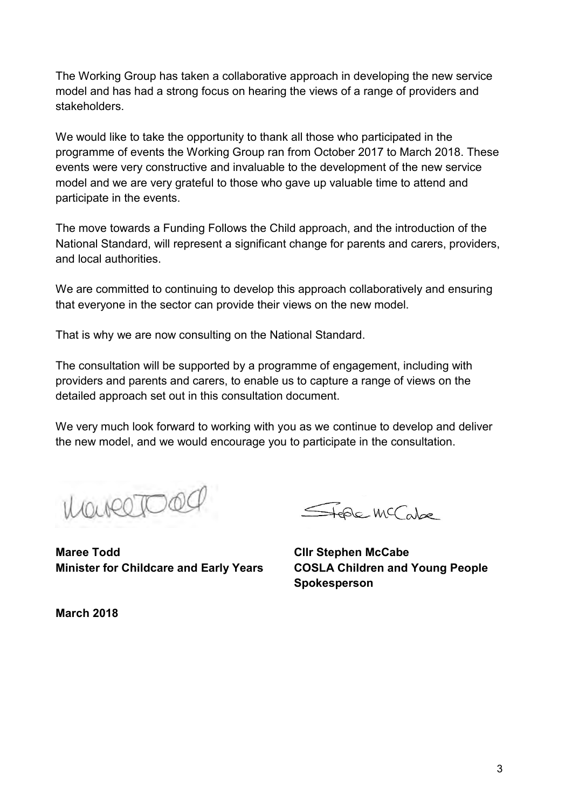The Working Group has taken a collaborative approach in developing the new service model and has had a strong focus on hearing the views of a range of providers and stakeholders.

We would like to take the opportunity to thank all those who participated in the programme of events the Working Group ran from October 2017 to March 2018. These events were very constructive and invaluable to the development of the new service model and we are very grateful to those who gave up valuable time to attend and participate in the events.

The move towards a Funding Follows the Child approach, and the introduction of the National Standard, will represent a significant change for parents and carers, providers, and local authorities.

We are committed to continuing to develop this approach collaboratively and ensuring that everyone in the sector can provide their views on the new model.

That is why we are now consulting on the National Standard.

The consultation will be supported by a programme of engagement, including with providers and parents and carers, to enable us to capture a range of views on the detailed approach set out in this consultation document.

We very much look forward to working with you as we continue to develop and deliver the new model, and we would encourage you to participate in the consultation.

Marcioa

FEDE MC also

**Maree Todd Cllr Stephen McCabe Minister for Childcare and Early Years COSLA Children and Young People** 

**Spokesperson**

**March 2018**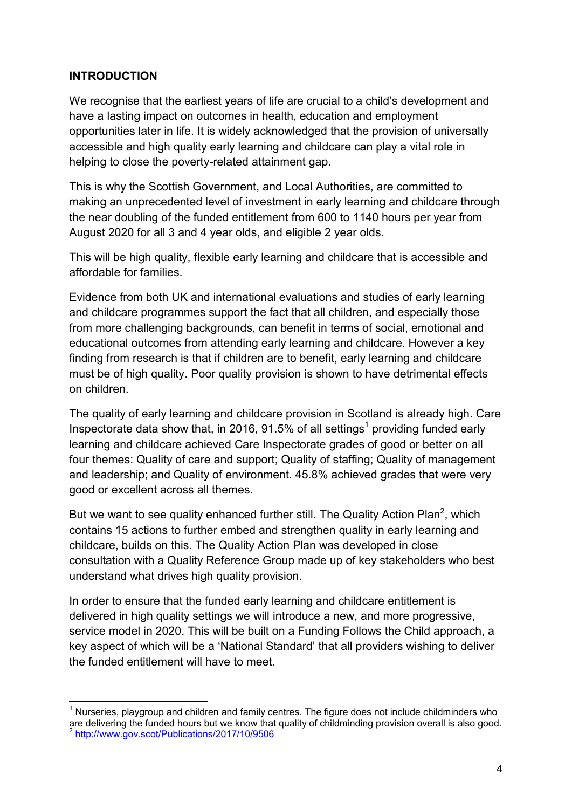#### **INTRODUCTION**

We recognise that the earliest years of life are crucial to a child's development and have a lasting impact on outcomes in health, education and employment opportunities later in life. It is widely acknowledged that the provision of universally accessible and high quality early learning and childcare can play a vital role in helping to close the poverty-related attainment gap.

This is why the Scottish Government, and Local Authorities, are committed to making an unprecedented level of investment in early learning and childcare through the near doubling of the funded entitlement from 600 to 1140 hours per year from August 2020 for all 3 and 4 year olds, and eligible 2 year olds.

This will be high quality, flexible early learning and childcare that is accessible and affordable for families.

Evidence from both UK and international evaluations and studies of early learning and childcare programmes support the fact that all children, and especially those from more challenging backgrounds, can benefit in terms of social, emotional and educational outcomes from attending early learning and childcare. However a key finding from research is that if children are to benefit, early learning and childcare must be of high quality. Poor quality provision is shown to have detrimental effects on children.

The quality of early learning and childcare provision in Scotland is already high. Care Inspectorate data show that, in 2016, 91.5% of all settings<sup>1</sup> providing funded early learning and childcare achieved Care Inspectorate grades of good or better on all four themes: Quality of care and support; Quality of staffing; Quality of management and leadership; and Quality of environment. 45.8% achieved grades that were very good or excellent across all themes.

But we want to see quality enhanced further still. The Quality Action Plan<sup>2</sup>, which contains 15 actions to further embed and strengthen quality in early learning and childcare, builds on this. The Quality Action Plan was developed in close consultation with a Quality Reference Group made up of key stakeholders who best understand what drives high quality provision.

In order to ensure that the funded early learning and childcare entitlement is delivered in high quality settings we will introduce a new, and more progressive, service model in 2020. This will be built on a Funding Follows the Child approach, a key aspect of which will be a 'National Standard' that all providers wishing to deliver the funded entitlement will have to meet.

 $\overline{a}$  $1$  Nurseries, playgroup and children and family centres. The figure does not include childminders who are delivering the funded hours but we know that quality of childminding provision overall is also good.<br><sup>2</sup> http://www.gov.cost/Publicationa/2017/10/0506 <http://www.gov.scot/Publications/2017/10/9506>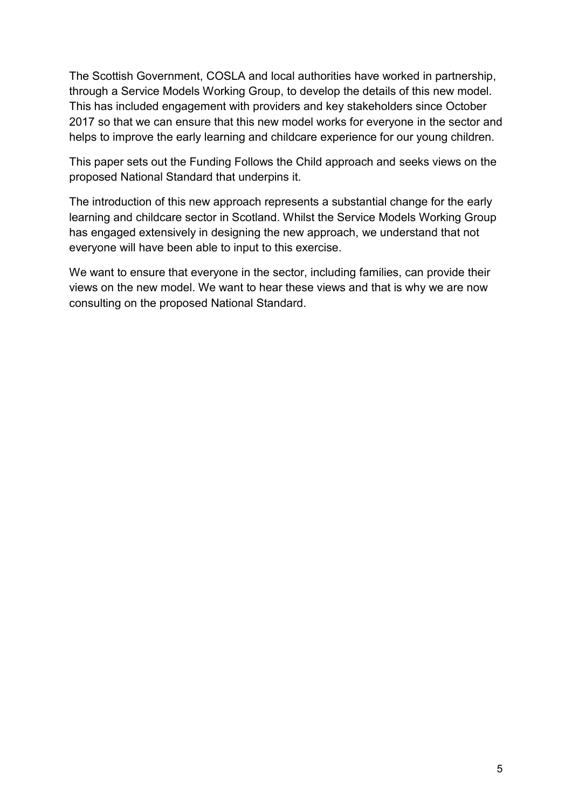The Scottish Government, COSLA and local authorities have worked in partnership, through a Service Models Working Group, to develop the details of this new model. This has included engagement with providers and key stakeholders since October 2017 so that we can ensure that this new model works for everyone in the sector and helps to improve the early learning and childcare experience for our young children.

This paper sets out the Funding Follows the Child approach and seeks views on the proposed National Standard that underpins it.

The introduction of this new approach represents a substantial change for the early learning and childcare sector in Scotland. Whilst the Service Models Working Group has engaged extensively in designing the new approach, we understand that not everyone will have been able to input to this exercise.

We want to ensure that everyone in the sector, including families, can provide their views on the new model. We want to hear these views and that is why we are now consulting on the proposed National Standard.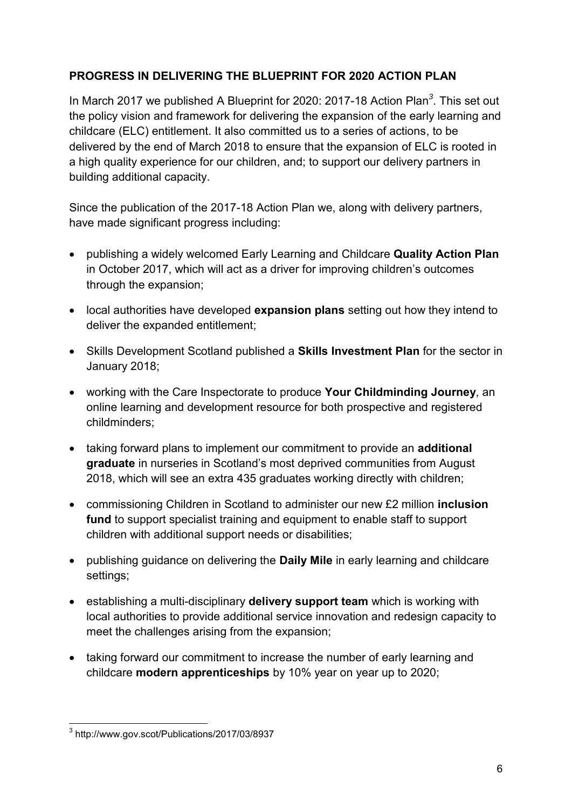# **PROGRESS IN DELIVERING THE BLUEPRINT FOR 2020 ACTION PLAN**

In March 2017 we published A Blueprint for 2020: 2017-18 Action Plan*<sup>3</sup>* . This set out the policy vision and framework for delivering the expansion of the early learning and childcare (ELC) entitlement. It also committed us to a series of actions, to be delivered by the end of March 2018 to ensure that the expansion of ELC is rooted in a high quality experience for our children, and; to support our delivery partners in building additional capacity.

Since the publication of the 2017-18 Action Plan we, along with delivery partners, have made significant progress including:

- publishing a widely welcomed Early Learning and Childcare **Quality Action Plan** in October 2017, which will act as a driver for improving children's outcomes through the expansion;
- local authorities have developed **expansion plans** setting out how they intend to deliver the expanded entitlement;
- Skills Development Scotland published a **Skills Investment Plan** for the sector in January 2018;
- working with the Care Inspectorate to produce **Your Childminding Journey**, an online learning and development resource for both prospective and registered childminders;
- taking forward plans to implement our commitment to provide an **additional graduate** in nurseries in Scotland's most deprived communities from August 2018, which will see an extra 435 graduates working directly with children;
- commissioning Children in Scotland to administer our new £2 million **inclusion fund** to support specialist training and equipment to enable staff to support children with additional support needs or disabilities;
- publishing guidance on delivering the **Daily Mile** in early learning and childcare settings;
- establishing a multi-disciplinary **delivery support team** which is working with local authorities to provide additional service innovation and redesign capacity to meet the challenges arising from the expansion;
- taking forward our commitment to increase the number of early learning and childcare **modern apprenticeships** by 10% year on year up to 2020;

 3 http://www.gov.scot/Publications/2017/03/8937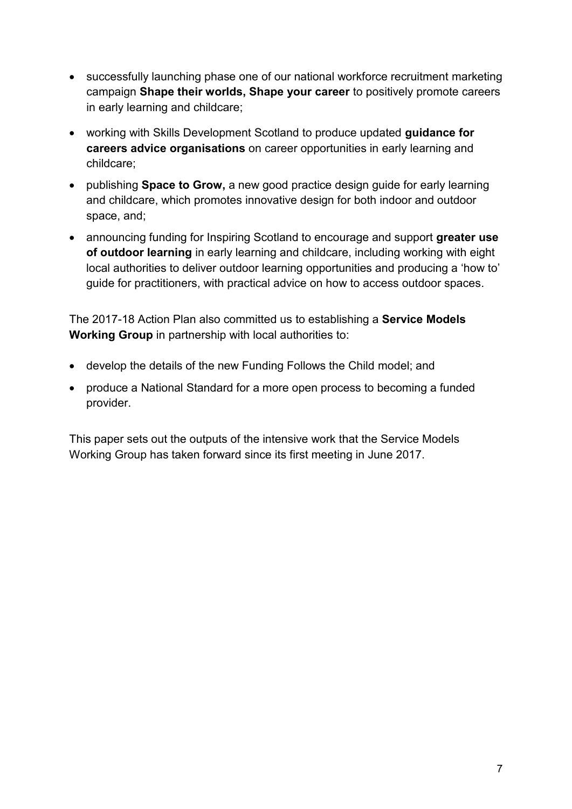- successfully launching phase one of our national workforce recruitment marketing campaign **Shape their worlds, Shape your career** to positively promote careers in early learning and childcare;
- working with Skills Development Scotland to produce updated **guidance for careers advice organisations** on career opportunities in early learning and childcare;
- publishing **Space to Grow,** a new good practice design guide for early learning and childcare, which promotes innovative design for both indoor and outdoor space, and;
- announcing funding for Inspiring Scotland to encourage and support **greater use of outdoor learning** in early learning and childcare, including working with eight local authorities to deliver outdoor learning opportunities and producing a 'how to' guide for practitioners, with practical advice on how to access outdoor spaces.

The 2017-18 Action Plan also committed us to establishing a **Service Models Working Group** in partnership with local authorities to:

- develop the details of the new Funding Follows the Child model; and
- produce a National Standard for a more open process to becoming a funded provider.

This paper sets out the outputs of the intensive work that the Service Models Working Group has taken forward since its first meeting in June 2017.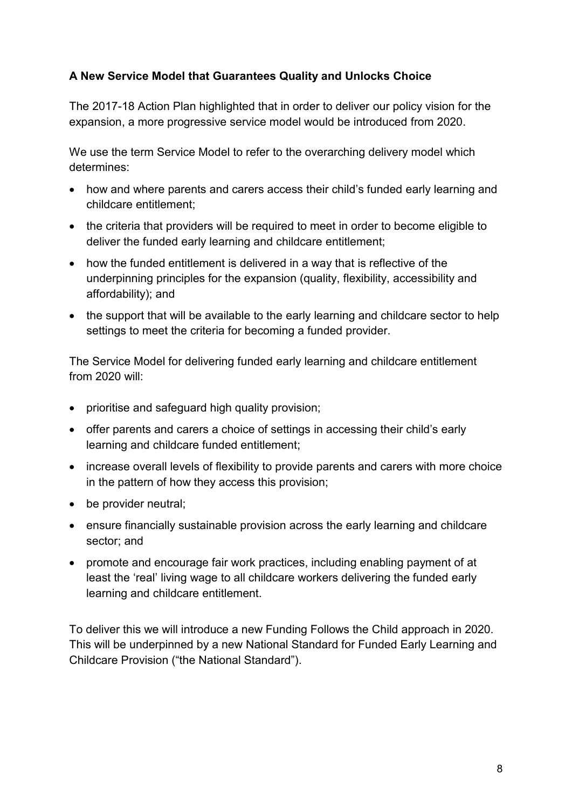# **A New Service Model that Guarantees Quality and Unlocks Choice**

The 2017-18 Action Plan highlighted that in order to deliver our policy vision for the expansion, a more progressive service model would be introduced from 2020.

We use the term Service Model to refer to the overarching delivery model which determines:

- how and where parents and carers access their child's funded early learning and childcare entitlement;
- the criteria that providers will be required to meet in order to become eligible to deliver the funded early learning and childcare entitlement;
- how the funded entitlement is delivered in a way that is reflective of the underpinning principles for the expansion (quality, flexibility, accessibility and affordability); and
- the support that will be available to the early learning and childcare sector to help settings to meet the criteria for becoming a funded provider.

The Service Model for delivering funded early learning and childcare entitlement from 2020 will:

- prioritise and safeguard high quality provision;
- offer parents and carers a choice of settings in accessing their child's early learning and childcare funded entitlement;
- increase overall levels of flexibility to provide parents and carers with more choice in the pattern of how they access this provision;
- be provider neutral;
- ensure financially sustainable provision across the early learning and childcare sector; and
- promote and encourage fair work practices, including enabling payment of at least the 'real' living wage to all childcare workers delivering the funded early learning and childcare entitlement.

To deliver this we will introduce a new Funding Follows the Child approach in 2020. This will be underpinned by a new National Standard for Funded Early Learning and Childcare Provision ("the National Standard").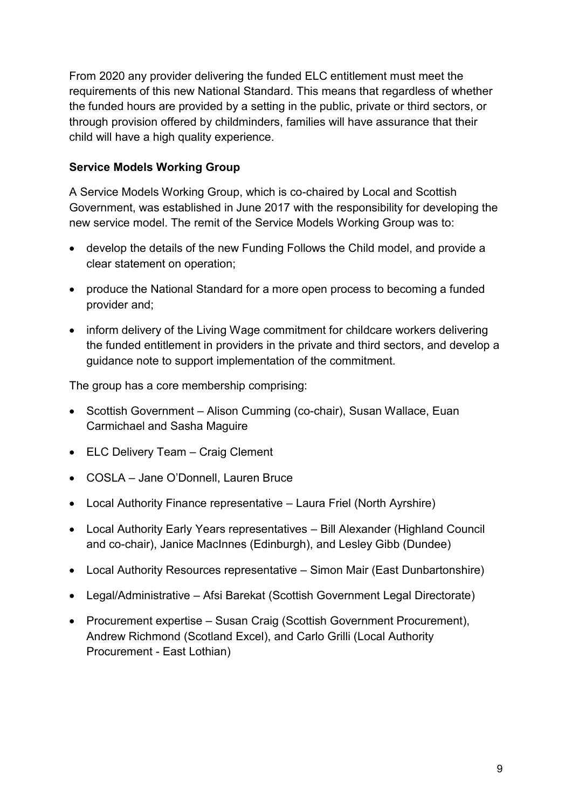From 2020 any provider delivering the funded ELC entitlement must meet the requirements of this new National Standard. This means that regardless of whether the funded hours are provided by a setting in the public, private or third sectors, or through provision offered by childminders, families will have assurance that their child will have a high quality experience.

# **Service Models Working Group**

A Service Models Working Group, which is co-chaired by Local and Scottish Government, was established in June 2017 with the responsibility for developing the new service model. The remit of the Service Models Working Group was to:

- develop the details of the new Funding Follows the Child model, and provide a clear statement on operation;
- produce the National Standard for a more open process to becoming a funded provider and;
- inform delivery of the Living Wage commitment for childcare workers delivering the funded entitlement in providers in the private and third sectors, and develop a guidance note to support implementation of the commitment.

The group has a core membership comprising:

- Scottish Government Alison Cumming (co-chair), Susan Wallace, Euan Carmichael and Sasha Maguire
- ELC Delivery Team Craig Clement
- COSLA Jane O'Donnell, Lauren Bruce
- Local Authority Finance representative Laura Friel (North Ayrshire)
- Local Authority Early Years representatives Bill Alexander (Highland Council and co-chair), Janice MacInnes (Edinburgh), and Lesley Gibb (Dundee)
- Local Authority Resources representative Simon Mair (East Dunbartonshire)
- Legal/Administrative Afsi Barekat (Scottish Government Legal Directorate)
- Procurement expertise Susan Craig (Scottish Government Procurement), Andrew Richmond (Scotland Excel), and Carlo Grilli (Local Authority Procurement - East Lothian)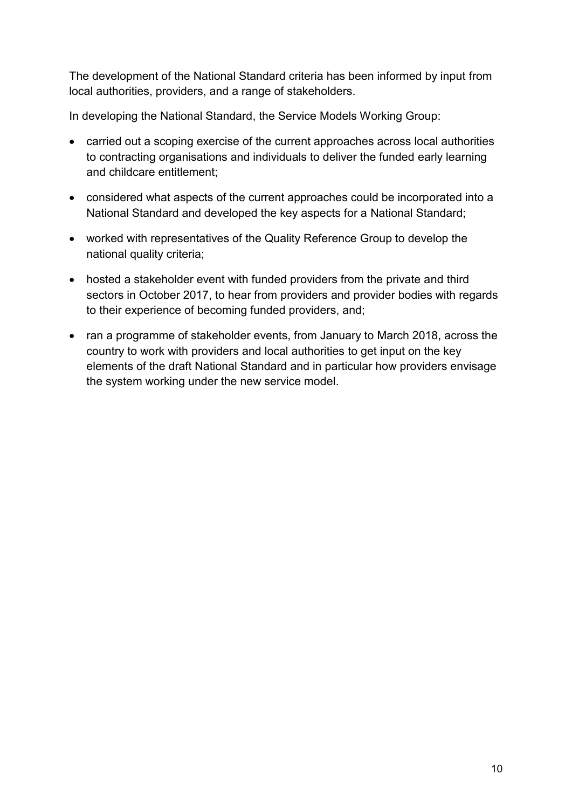The development of the National Standard criteria has been informed by input from local authorities, providers, and a range of stakeholders.

In developing the National Standard, the Service Models Working Group:

- carried out a scoping exercise of the current approaches across local authorities to contracting organisations and individuals to deliver the funded early learning and childcare entitlement;
- considered what aspects of the current approaches could be incorporated into a National Standard and developed the key aspects for a National Standard;
- worked with representatives of the Quality Reference Group to develop the national quality criteria;
- hosted a stakeholder event with funded providers from the private and third sectors in October 2017, to hear from providers and provider bodies with regards to their experience of becoming funded providers, and;
- ran a programme of stakeholder events, from January to March 2018, across the country to work with providers and local authorities to get input on the key elements of the draft National Standard and in particular how providers envisage the system working under the new service model.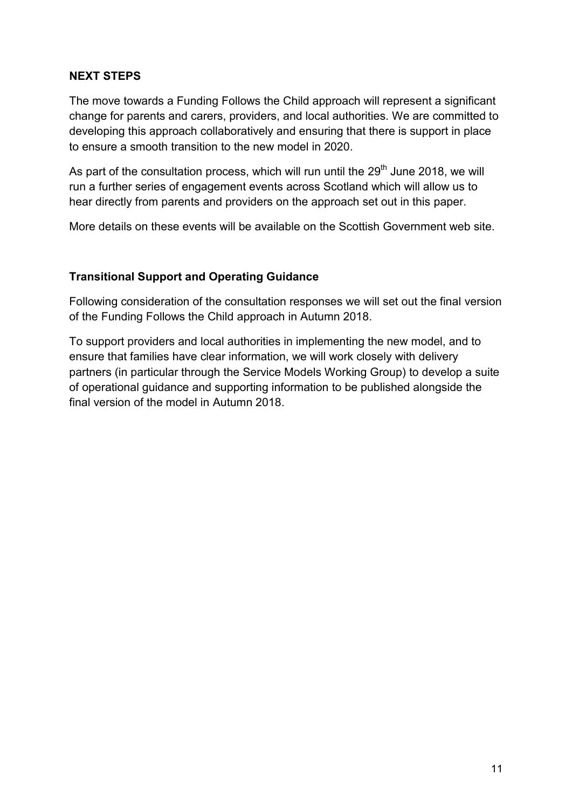# **NEXT STEPS**

The move towards a Funding Follows the Child approach will represent a significant change for parents and carers, providers, and local authorities. We are committed to developing this approach collaboratively and ensuring that there is support in place to ensure a smooth transition to the new model in 2020.

As part of the consultation process, which will run until the  $29<sup>th</sup>$  June 2018, we will run a further series of engagement events across Scotland which will allow us to hear directly from parents and providers on the approach set out in this paper.

More details on these events will be available on the Scottish Government web site.

# **Transitional Support and Operating Guidance**

Following consideration of the consultation responses we will set out the final version of the Funding Follows the Child approach in Autumn 2018.

To support providers and local authorities in implementing the new model, and to ensure that families have clear information, we will work closely with delivery partners (in particular through the Service Models Working Group) to develop a suite of operational guidance and supporting information to be published alongside the final version of the model in Autumn 2018.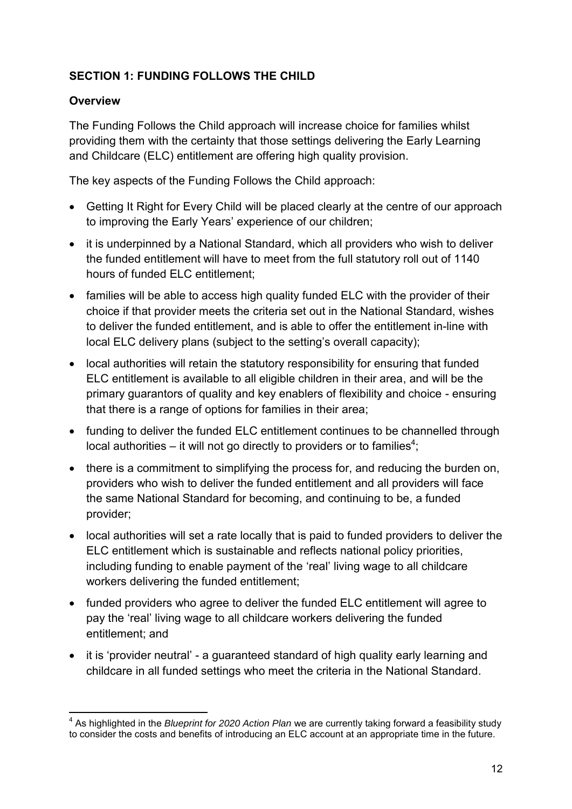# **SECTION 1: FUNDING FOLLOWS THE CHILD**

# **Overview**

The Funding Follows the Child approach will increase choice for families whilst providing them with the certainty that those settings delivering the Early Learning and Childcare (ELC) entitlement are offering high quality provision.

The key aspects of the Funding Follows the Child approach:

- Getting It Right for Every Child will be placed clearly at the centre of our approach to improving the Early Years' experience of our children;
- it is underpinned by a National Standard, which all providers who wish to deliver the funded entitlement will have to meet from the full statutory roll out of 1140 hours of funded ELC entitlement;
- families will be able to access high quality funded ELC with the provider of their choice if that provider meets the criteria set out in the National Standard, wishes to deliver the funded entitlement, and is able to offer the entitlement in-line with local ELC delivery plans (subject to the setting's overall capacity);
- local authorities will retain the statutory responsibility for ensuring that funded ELC entitlement is available to all eligible children in their area, and will be the primary guarantors of quality and key enablers of flexibility and choice - ensuring that there is a range of options for families in their area;
- funding to deliver the funded ELC entitlement continues to be channelled through local authorities – it will not go directly to providers or to families<sup>4</sup>;
- there is a commitment to simplifying the process for, and reducing the burden on, providers who wish to deliver the funded entitlement and all providers will face the same National Standard for becoming, and continuing to be, a funded provider;
- local authorities will set a rate locally that is paid to funded providers to deliver the ELC entitlement which is sustainable and reflects national policy priorities, including funding to enable payment of the 'real' living wage to all childcare workers delivering the funded entitlement;
- funded providers who agree to deliver the funded ELC entitlement will agree to pay the 'real' living wage to all childcare workers delivering the funded entitlement; and
- it is 'provider neutral' a guaranteed standard of high quality early learning and childcare in all funded settings who meet the criteria in the National Standard.

 4 As highlighted in the *Blueprint for 2020 Action Plan* we are currently taking forward a feasibility study to consider the costs and benefits of introducing an ELC account at an appropriate time in the future.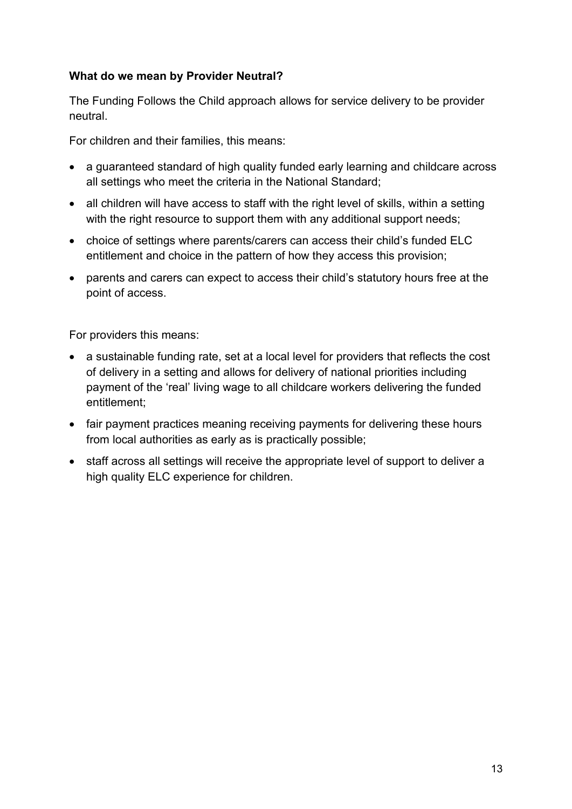#### **What do we mean by Provider Neutral?**

The Funding Follows the Child approach allows for service delivery to be provider neutral.

For children and their families, this means:

- a guaranteed standard of high quality funded early learning and childcare across all settings who meet the criteria in the National Standard;
- all children will have access to staff with the right level of skills, within a setting with the right resource to support them with any additional support needs;
- choice of settings where parents/carers can access their child's funded ELC entitlement and choice in the pattern of how they access this provision;
- parents and carers can expect to access their child's statutory hours free at the point of access.

For providers this means:

- a sustainable funding rate, set at a local level for providers that reflects the cost of delivery in a setting and allows for delivery of national priorities including payment of the 'real' living wage to all childcare workers delivering the funded entitlement;
- fair payment practices meaning receiving payments for delivering these hours from local authorities as early as is practically possible;
- staff across all settings will receive the appropriate level of support to deliver a high quality ELC experience for children.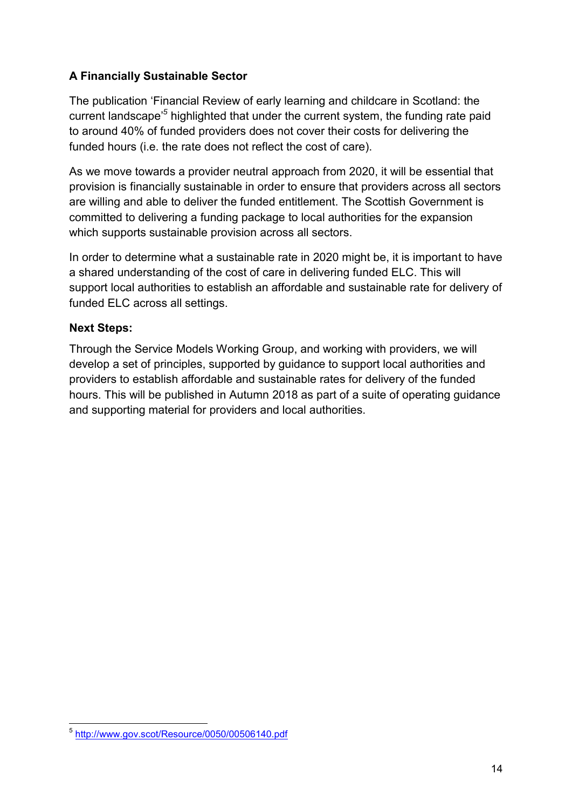# **A Financially Sustainable Sector**

The publication 'Financial Review of early learning and childcare in Scotland: the current landscape'*<sup>5</sup>* highlighted that under the current system, the funding rate paid to around 40% of funded providers does not cover their costs for delivering the funded hours (i.e. the rate does not reflect the cost of care).

As we move towards a provider neutral approach from 2020, it will be essential that provision is financially sustainable in order to ensure that providers across all sectors are willing and able to deliver the funded entitlement. The Scottish Government is committed to delivering a funding package to local authorities for the expansion which supports sustainable provision across all sectors.

In order to determine what a sustainable rate in 2020 might be, it is important to have a shared understanding of the cost of care in delivering funded ELC. This will support local authorities to establish an affordable and sustainable rate for delivery of funded ELC across all settings.

# **Next Steps:**

Through the Service Models Working Group, and working with providers, we will develop a set of principles, supported by guidance to support local authorities and providers to establish affordable and sustainable rates for delivery of the funded hours. This will be published in Autumn 2018 as part of a suite of operating guidance and supporting material for providers and local authorities.

<sup>&</sup>lt;u>-</u><br>5 <u>http://www.gov.scot/Resource/0050/00506140.pdf</u>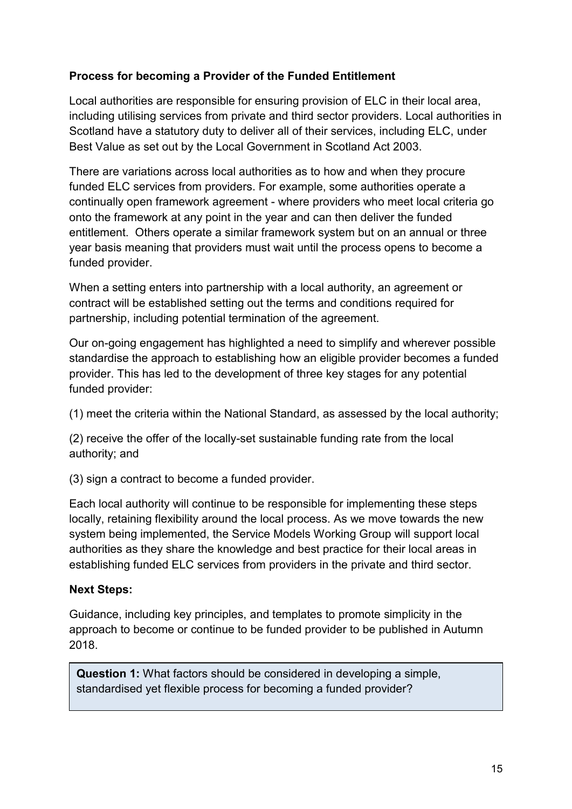# **Process for becoming a Provider of the Funded Entitlement**

Local authorities are responsible for ensuring provision of ELC in their local area, including utilising services from private and third sector providers. Local authorities in Scotland have a statutory duty to deliver all of their services, including ELC, under Best Value as set out by the Local Government in Scotland Act 2003.

There are variations across local authorities as to how and when they procure funded ELC services from providers. For example, some authorities operate a continually open framework agreement - where providers who meet local criteria go onto the framework at any point in the year and can then deliver the funded entitlement. Others operate a similar framework system but on an annual or three year basis meaning that providers must wait until the process opens to become a funded provider.

When a setting enters into partnership with a local authority, an agreement or contract will be established setting out the terms and conditions required for partnership, including potential termination of the agreement.

Our on-going engagement has highlighted a need to simplify and wherever possible standardise the approach to establishing how an eligible provider becomes a funded provider. This has led to the development of three key stages for any potential funded provider:

(1) meet the criteria within the National Standard, as assessed by the local authority;

(2) receive the offer of the locally-set sustainable funding rate from the local authority; and

(3) sign a contract to become a funded provider.

Each local authority will continue to be responsible for implementing these steps locally, retaining flexibility around the local process. As we move towards the new system being implemented, the Service Models Working Group will support local authorities as they share the knowledge and best practice for their local areas in establishing funded ELC services from providers in the private and third sector.

#### **Next Steps:**

Guidance, including key principles, and templates to promote simplicity in the approach to become or continue to be funded provider to be published in Autumn 2018.

**Question 1:** What factors should be considered in developing a simple, standardised yet flexible process for becoming a funded provider?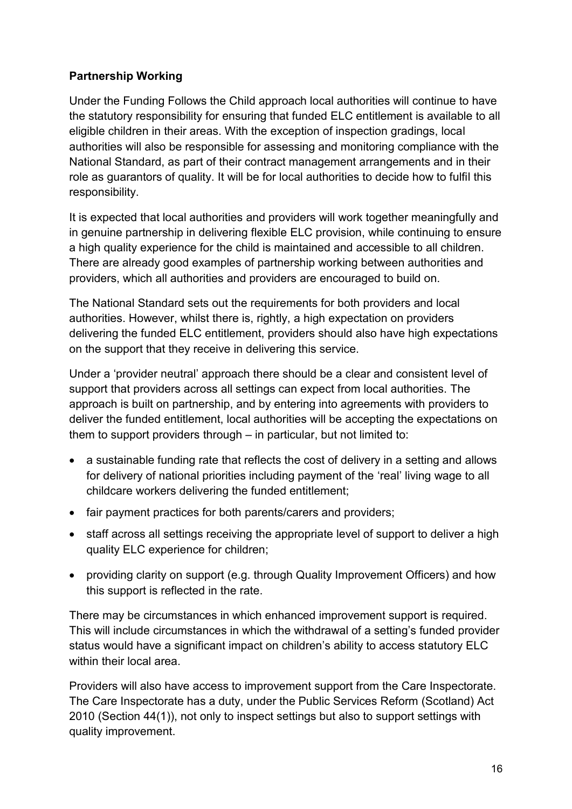# **Partnership Working**

Under the Funding Follows the Child approach local authorities will continue to have the statutory responsibility for ensuring that funded ELC entitlement is available to all eligible children in their areas. With the exception of inspection gradings, local authorities will also be responsible for assessing and monitoring compliance with the National Standard, as part of their contract management arrangements and in their role as guarantors of quality. It will be for local authorities to decide how to fulfil this responsibility.

It is expected that local authorities and providers will work together meaningfully and in genuine partnership in delivering flexible ELC provision, while continuing to ensure a high quality experience for the child is maintained and accessible to all children. There are already good examples of partnership working between authorities and providers, which all authorities and providers are encouraged to build on.

The National Standard sets out the requirements for both providers and local authorities. However, whilst there is, rightly, a high expectation on providers delivering the funded ELC entitlement, providers should also have high expectations on the support that they receive in delivering this service.

Under a 'provider neutral' approach there should be a clear and consistent level of support that providers across all settings can expect from local authorities. The approach is built on partnership, and by entering into agreements with providers to deliver the funded entitlement, local authorities will be accepting the expectations on them to support providers through – in particular, but not limited to:

- a sustainable funding rate that reflects the cost of delivery in a setting and allows for delivery of national priorities including payment of the 'real' living wage to all childcare workers delivering the funded entitlement;
- fair payment practices for both parents/carers and providers;
- staff across all settings receiving the appropriate level of support to deliver a high quality ELC experience for children;
- providing clarity on support (e.g. through Quality Improvement Officers) and how this support is reflected in the rate.

There may be circumstances in which enhanced improvement support is required. This will include circumstances in which the withdrawal of a setting's funded provider status would have a significant impact on children's ability to access statutory ELC within their local area.

Providers will also have access to improvement support from the Care Inspectorate. The Care Inspectorate has a duty, under the Public Services Reform (Scotland) Act 2010 (Section 44(1)), not only to inspect settings but also to support settings with quality improvement.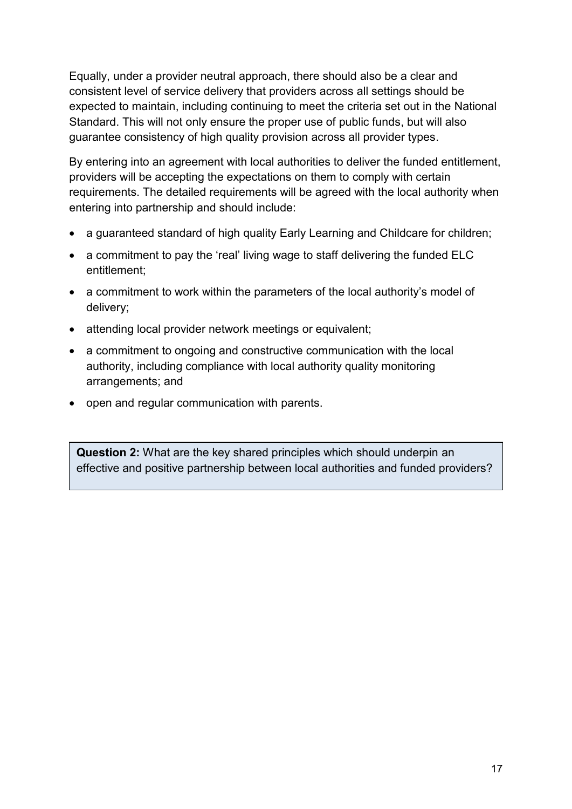Equally, under a provider neutral approach, there should also be a clear and consistent level of service delivery that providers across all settings should be expected to maintain, including continuing to meet the criteria set out in the National Standard. This will not only ensure the proper use of public funds, but will also guarantee consistency of high quality provision across all provider types.

By entering into an agreement with local authorities to deliver the funded entitlement, providers will be accepting the expectations on them to comply with certain requirements. The detailed requirements will be agreed with the local authority when entering into partnership and should include:

- a guaranteed standard of high quality Early Learning and Childcare for children;
- a commitment to pay the 'real' living wage to staff delivering the funded ELC entitlement;
- a commitment to work within the parameters of the local authority's model of delivery;
- attending local provider network meetings or equivalent;
- a commitment to ongoing and constructive communication with the local authority, including compliance with local authority quality monitoring arrangements; and
- open and regular communication with parents.

**Question 2:** What are the key shared principles which should underpin an effective and positive partnership between local authorities and funded providers?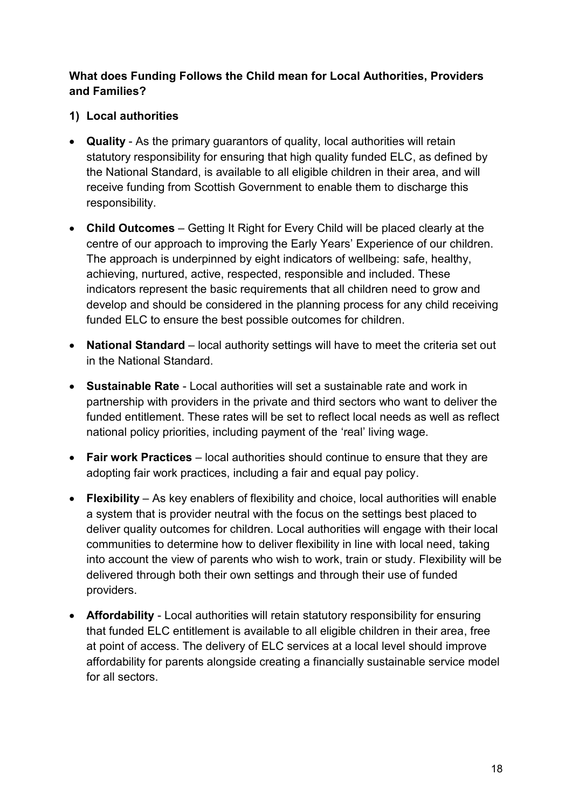# **What does Funding Follows the Child mean for Local Authorities, Providers and Families?**

# **1) Local authorities**

- **Quality**  As the primary guarantors of quality, local authorities will retain statutory responsibility for ensuring that high quality funded ELC, as defined by the National Standard, is available to all eligible children in their area, and will receive funding from Scottish Government to enable them to discharge this responsibility.
- **Child Outcomes** Getting It Right for Every Child will be placed clearly at the centre of our approach to improving the Early Years' Experience of our children. The approach is underpinned by eight indicators of wellbeing: safe, healthy, achieving, nurtured, active, respected, responsible and included. These indicators represent the basic requirements that all children need to grow and develop and should be considered in the planning process for any child receiving funded ELC to ensure the best possible outcomes for children.
- National Standard local authority settings will have to meet the criteria set out in the National Standard.
- **Sustainable Rate**  Local authorities will set a sustainable rate and work in partnership with providers in the private and third sectors who want to deliver the funded entitlement. These rates will be set to reflect local needs as well as reflect national policy priorities, including payment of the 'real' living wage.
- **Fair work Practices** local authorities should continue to ensure that they are adopting fair work practices, including a fair and equal pay policy.
- **Flexibility** As key enablers of flexibility and choice, local authorities will enable a system that is provider neutral with the focus on the settings best placed to deliver quality outcomes for children. Local authorities will engage with their local communities to determine how to deliver flexibility in line with local need, taking into account the view of parents who wish to work, train or study. Flexibility will be delivered through both their own settings and through their use of funded providers.
- **Affordability** Local authorities will retain statutory responsibility for ensuring that funded ELC entitlement is available to all eligible children in their area, free at point of access. The delivery of ELC services at a local level should improve affordability for parents alongside creating a financially sustainable service model for all sectors.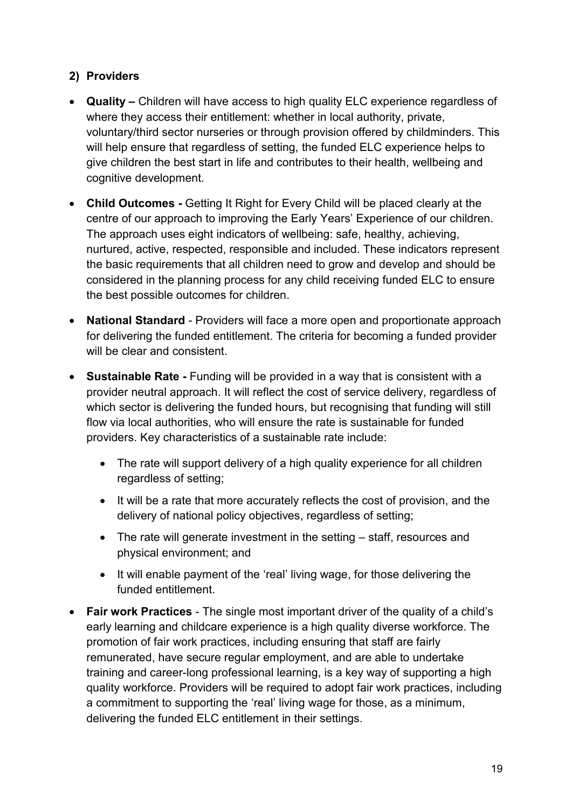# **2) Providers**

- **Quality** Children will have access to high quality ELC experience regardless of where they access their entitlement: whether in local authority, private, voluntary/third sector nurseries or through provision offered by childminders. This will help ensure that regardless of setting, the funded ELC experience helps to give children the best start in life and contributes to their health, wellbeing and cognitive development.
- **Child Outcomes** Getting It Right for Every Child will be placed clearly at the centre of our approach to improving the Early Years' Experience of our children. The approach uses eight indicators of wellbeing: safe, healthy, achieving, nurtured, active, respected, responsible and included. These indicators represent the basic requirements that all children need to grow and develop and should be considered in the planning process for any child receiving funded ELC to ensure the best possible outcomes for children.
- **National Standard** Providers will face a more open and proportionate approach for delivering the funded entitlement. The criteria for becoming a funded provider will be clear and consistent.
- **Sustainable Rate Funding will be provided in a way that is consistent with a** provider neutral approach. It will reflect the cost of service delivery, regardless of which sector is delivering the funded hours, but recognising that funding will still flow via local authorities, who will ensure the rate is sustainable for funded providers. Key characteristics of a sustainable rate include:
	- The rate will support delivery of a high quality experience for all children regardless of setting;
	- It will be a rate that more accurately reflects the cost of provision, and the delivery of national policy objectives, regardless of setting;
	- The rate will generate investment in the setting staff, resources and physical environment; and
	- It will enable payment of the 'real' living wage, for those delivering the funded entitlement.
- **Fair work Practices** The single most important driver of the quality of a child's early learning and childcare experience is a high quality diverse workforce. The promotion of fair work practices, including ensuring that staff are fairly remunerated, have secure regular employment, and are able to undertake training and career-long professional learning, is a key way of supporting a high quality workforce. Providers will be required to adopt fair work practices, including a commitment to supporting the 'real' living wage for those, as a minimum, delivering the funded ELC entitlement in their settings.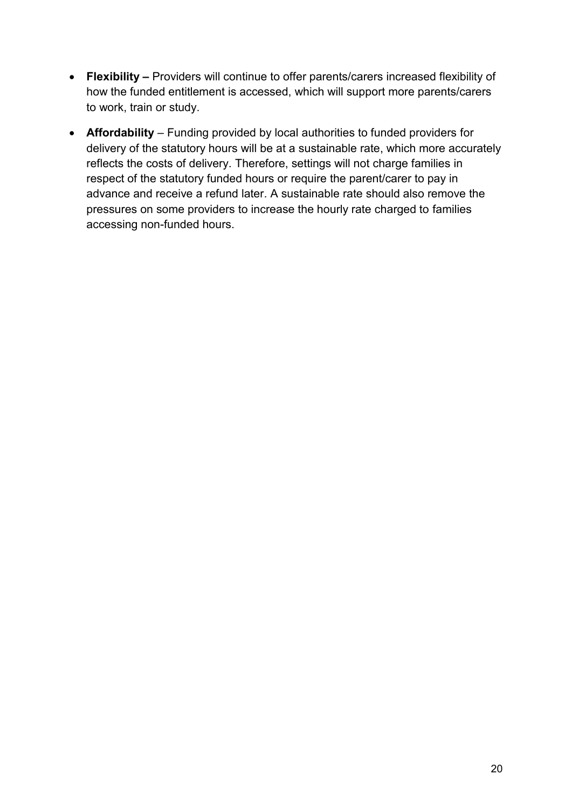- **Flexibility** Providers will continue to offer parents/carers increased flexibility of how the funded entitlement is accessed, which will support more parents/carers to work, train or study.
- **Affordability**  Funding provided by local authorities to funded providers for delivery of the statutory hours will be at a sustainable rate, which more accurately reflects the costs of delivery. Therefore, settings will not charge families in respect of the statutory funded hours or require the parent/carer to pay in advance and receive a refund later. A sustainable rate should also remove the pressures on some providers to increase the hourly rate charged to families accessing non-funded hours.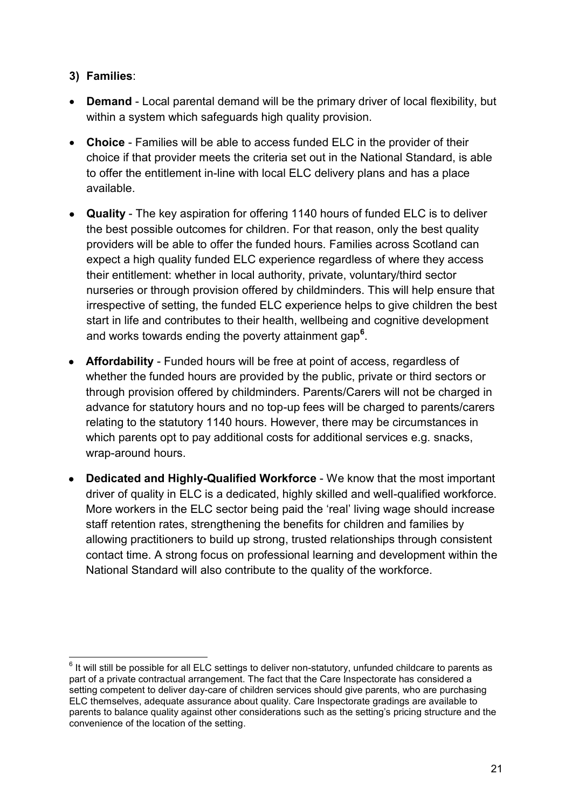# **3) Families**:

- **Demand** Local parental demand will be the primary driver of local flexibility, but within a system which safeguards high quality provision.
- **Choice**  Families will be able to access funded ELC in the provider of their choice if that provider meets the criteria set out in the National Standard, is able to offer the entitlement in-line with local ELC delivery plans and has a place available.
- **Quality**  The key aspiration for offering 1140 hours of funded ELC is to deliver the best possible outcomes for children. For that reason, only the best quality providers will be able to offer the funded hours. Families across Scotland can expect a high quality funded ELC experience regardless of where they access their entitlement: whether in local authority, private, voluntary/third sector nurseries or through provision offered by childminders. This will help ensure that irrespective of setting, the funded ELC experience helps to give children the best start in life and contributes to their health, wellbeing and cognitive development and works towards ending the poverty attainment gap**<sup>6</sup>** .
- **Affordability**  Funded hours will be free at point of access, regardless of whether the funded hours are provided by the public, private or third sectors or through provision offered by childminders. Parents/Carers will not be charged in advance for statutory hours and no top-up fees will be charged to parents/carers relating to the statutory 1140 hours. However, there may be circumstances in which parents opt to pay additional costs for additional services e.g. snacks, wrap-around hours.
- **Dedicated and Highly-Qualified Workforce** We know that the most important driver of quality in ELC is a dedicated, highly skilled and well-qualified workforce. More workers in the ELC sector being paid the 'real' living wage should increase staff retention rates, strengthening the benefits for children and families by allowing practitioners to build up strong, trusted relationships through consistent contact time. A strong focus on professional learning and development within the National Standard will also contribute to the quality of the workforce.

 6 It will still be possible for all ELC settings to deliver non-statutory, unfunded childcare to parents as part of a private contractual arrangement. The fact that the Care Inspectorate has considered a setting competent to deliver day-care of children services should give parents, who are purchasing ELC themselves, adequate assurance about quality. Care Inspectorate gradings are available to parents to balance quality against other considerations such as the setting's pricing structure and the convenience of the location of the setting.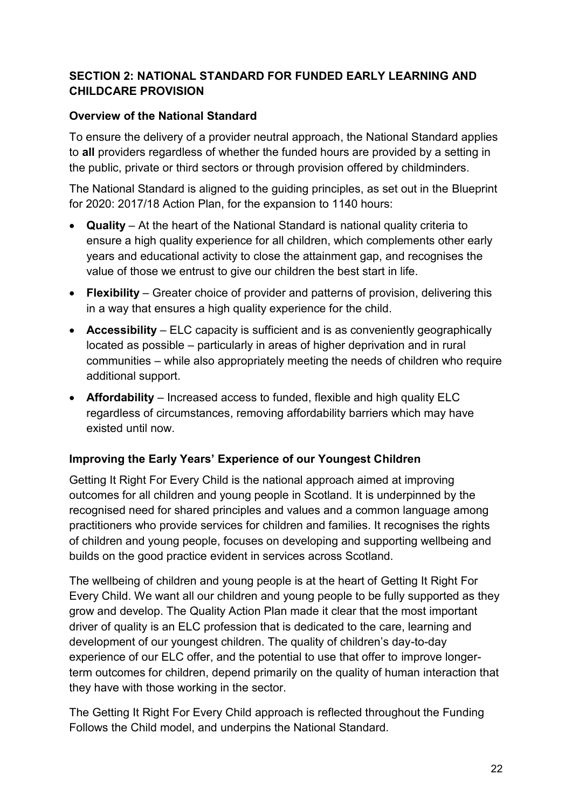# **SECTION 2: NATIONAL STANDARD FOR FUNDED EARLY LEARNING AND CHILDCARE PROVISION**

# **Overview of the National Standard**

To ensure the delivery of a provider neutral approach, the National Standard applies to **all** providers regardless of whether the funded hours are provided by a setting in the public, private or third sectors or through provision offered by childminders.

The National Standard is aligned to the guiding principles, as set out in the Blueprint for 2020: 2017/18 Action Plan, for the expansion to 1140 hours:

- **Quality** At the heart of the National Standard is national quality criteria to ensure a high quality experience for all children, which complements other early years and educational activity to close the attainment gap, and recognises the value of those we entrust to give our children the best start in life.
- **Flexibility** Greater choice of provider and patterns of provision, delivering this in a way that ensures a high quality experience for the child.
- **Accessibility** ELC capacity is sufficient and is as conveniently geographically located as possible – particularly in areas of higher deprivation and in rural communities – while also appropriately meeting the needs of children who require additional support.
- **Affordability** Increased access to funded, flexible and high quality ELC regardless of circumstances, removing affordability barriers which may have existed until now.

#### **Improving the Early Years' Experience of our Youngest Children**

Getting It Right For Every Child is the national approach aimed at improving outcomes for all children and young people in Scotland. It is underpinned by the recognised need for shared principles and values and a common language among practitioners who provide services for children and families. It recognises the rights of children and young people, focuses on developing and supporting wellbeing and builds on the good practice evident in services across Scotland.

The wellbeing of children and young people is at the heart of Getting It Right For Every Child. We want all our children and young people to be fully supported as they grow and develop. The Quality Action Plan made it clear that the most important driver of quality is an ELC profession that is dedicated to the care, learning and development of our youngest children. The quality of children's day-to-day experience of our ELC offer, and the potential to use that offer to improve longerterm outcomes for children, depend primarily on the quality of human interaction that they have with those working in the sector.

The Getting It Right For Every Child approach is reflected throughout the Funding Follows the Child model, and underpins the National Standard.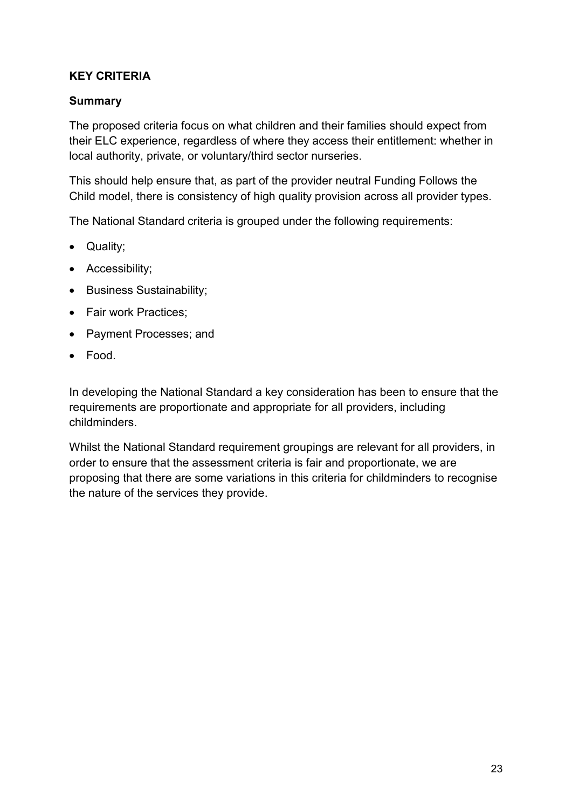# **KEY CRITERIA**

#### **Summary**

The proposed criteria focus on what children and their families should expect from their ELC experience, regardless of where they access their entitlement: whether in local authority, private, or voluntary/third sector nurseries.

This should help ensure that, as part of the provider neutral Funding Follows the Child model, there is consistency of high quality provision across all provider types.

The National Standard criteria is grouped under the following requirements:

- Quality;
- Accessibility:
- Business Sustainability;
- Fair work Practices;
- Payment Processes; and
- Food.

In developing the National Standard a key consideration has been to ensure that the requirements are proportionate and appropriate for all providers, including childminders.

Whilst the National Standard requirement groupings are relevant for all providers, in order to ensure that the assessment criteria is fair and proportionate, we are proposing that there are some variations in this criteria for childminders to recognise the nature of the services they provide.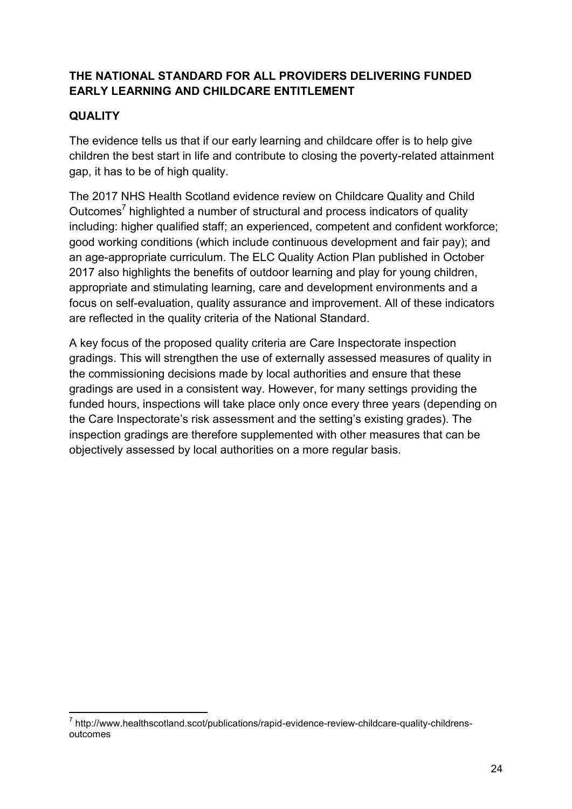# **THE NATIONAL STANDARD FOR ALL PROVIDERS DELIVERING FUNDED EARLY LEARNING AND CHILDCARE ENTITLEMENT**

# **QUALITY**

The evidence tells us that if our early learning and childcare offer is to help give children the best start in life and contribute to closing the poverty-related attainment gap, it has to be of high quality.

The 2017 NHS Health Scotland evidence review on Childcare Quality and Child Outcomes<sup>7</sup> highlighted a number of structural and process indicators of quality including: higher qualified staff; an experienced, competent and confident workforce; good working conditions (which include continuous development and fair pay); and an age-appropriate curriculum. The ELC Quality Action Plan published in October 2017 also highlights the benefits of outdoor learning and play for young children, appropriate and stimulating learning, care and development environments and a focus on self-evaluation, quality assurance and improvement. All of these indicators are reflected in the quality criteria of the National Standard.

A key focus of the proposed quality criteria are Care Inspectorate inspection gradings. This will strengthen the use of externally assessed measures of quality in the commissioning decisions made by local authorities and ensure that these gradings are used in a consistent way. However, for many settings providing the funded hours, inspections will take place only once every three years (depending on the Care Inspectorate's risk assessment and the setting's existing grades). The inspection gradings are therefore supplemented with other measures that can be objectively assessed by local authorities on a more regular basis.

**<sup>.</sup>** <sup>7</sup> http://www.healthscotland.scot/publications/rapid-evidence-review-childcare-quality-childrensoutcomes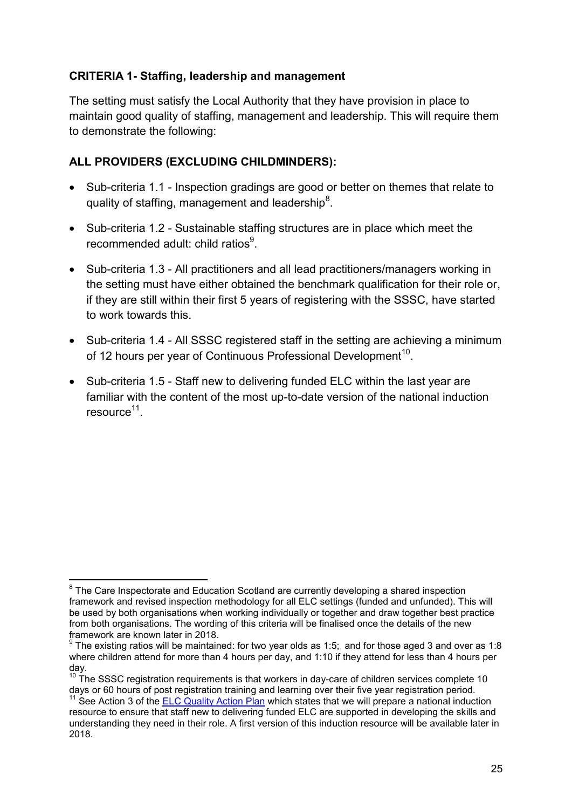#### **CRITERIA 1- Staffing, leadership and management**

The setting must satisfy the Local Authority that they have provision in place to maintain good quality of staffing, management and leadership. This will require them to demonstrate the following:

# **ALL PROVIDERS (EXCLUDING CHILDMINDERS):**

- Sub-criteria 1.1 Inspection gradings are good or better on themes that relate to quality of staffing, management and leadership<sup>8</sup>.
- Sub-criteria 1.2 Sustainable staffing structures are in place which meet the recommended adult: child ratios<sup>9</sup>.
- Sub-criteria 1.3 All practitioners and all lead practitioners/managers working in the setting must have either obtained the benchmark qualification for their role or, if they are still within their first 5 years of registering with the SSSC, have started to work towards this.
- Sub-criteria 1.4 All SSSC registered staff in the setting are achieving a minimum of 12 hours per year of Continuous Professional Development<sup>10</sup>.
- Sub-criteria 1.5 Staff new to delivering funded ELC within the last year are familiar with the content of the most up-to-date version of the national induction resource<sup>11</sup>.

 8 The Care Inspectorate and Education Scotland are currently developing a shared inspection framework and revised inspection methodology for all ELC settings (funded and unfunded). This will be used by both organisations when working individually or together and draw together best practice from both organisations. The wording of this criteria will be finalised once the details of the new framework are known later in 2018.

 $^9$  The existing ratios will be maintained: for two year olds as 1:5; and for those aged 3 and over as 1:8 where children attend for more than 4 hours per day, and 1:10 if they attend for less than 4 hours per day.

 $10\text{ T}$  The SSSC registration requirements is that workers in day-care of children services complete 10 days or 60 hours of post registration training and learning over their five year registration period.

See Action 3 of the **ELC Quality Action Plan** which states that we will prepare a national induction resource to ensure that staff new to delivering funded ELC are supported in developing the skills and understanding they need in their role. A first version of this induction resource will be available later in 2018.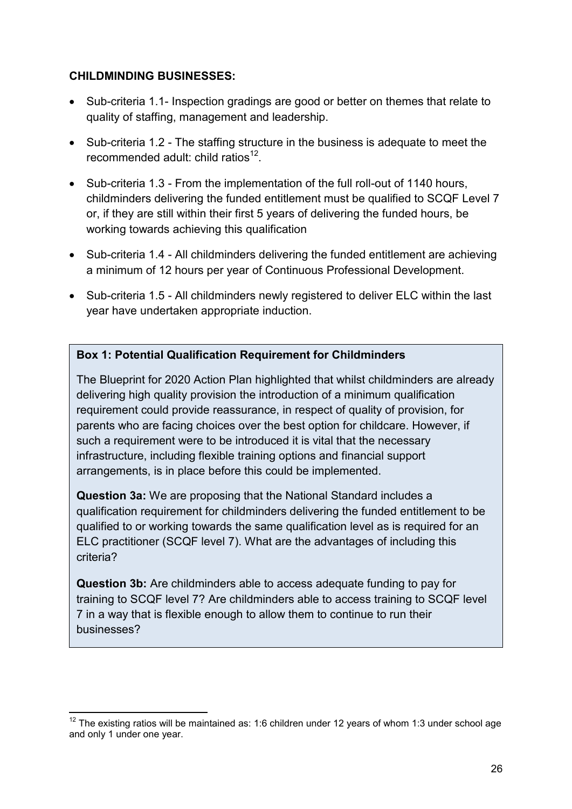#### **CHILDMINDING BUSINESSES:**

- Sub-criteria 1.1- Inspection gradings are good or better on themes that relate to quality of staffing, management and leadership.
- Sub-criteria 1.2 The staffing structure in the business is adequate to meet the recommended adult: child ratios $12$ .
- Sub-criteria 1.3 From the implementation of the full roll-out of 1140 hours, childminders delivering the funded entitlement must be qualified to SCQF Level 7 or, if they are still within their first 5 years of delivering the funded hours, be working towards achieving this qualification
- Sub-criteria 1.4 All childminders delivering the funded entitlement are achieving a minimum of 12 hours per year of Continuous Professional Development.
- Sub-criteria 1.5 All childminders newly registered to deliver ELC within the last year have undertaken appropriate induction.

# **Box 1: Potential Qualification Requirement for Childminders**

The Blueprint for 2020 Action Plan highlighted that whilst childminders are already delivering high quality provision the introduction of a minimum qualification requirement could provide reassurance, in respect of quality of provision, for parents who are facing choices over the best option for childcare. However, if such a requirement were to be introduced it is vital that the necessary infrastructure, including flexible training options and financial support arrangements, is in place before this could be implemented.

**Question 3a:** We are proposing that the National Standard includes a qualification requirement for childminders delivering the funded entitlement to be qualified to or working towards the same qualification level as is required for an ELC practitioner (SCQF level 7). What are the advantages of including this criteria?

**Question 3b:** Are childminders able to access adequate funding to pay for training to SCQF level 7? Are childminders able to access training to SCQF level 7 in a way that is flexible enough to allow them to continue to run their businesses?

**<sup>.</sup>**  $12$  The existing ratios will be maintained as: 1:6 children under 12 years of whom 1:3 under school age and only 1 under one year.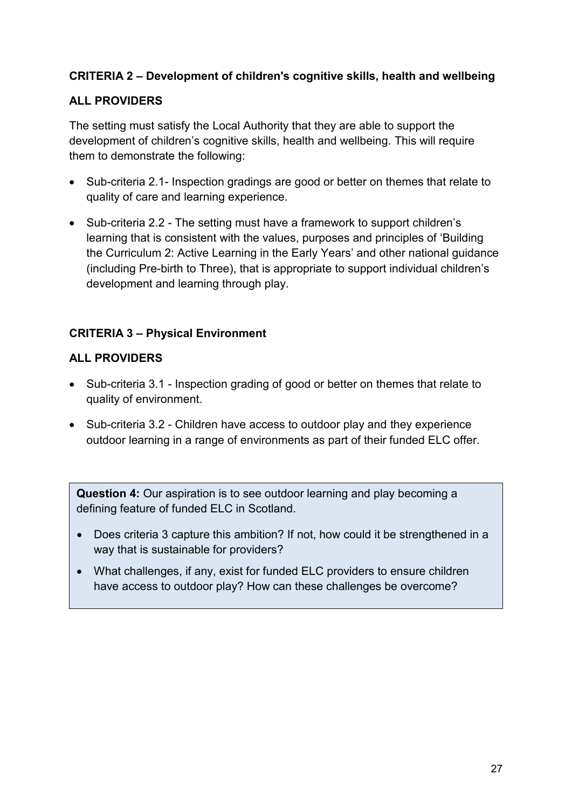# **CRITERIA 2 – Development of children's cognitive skills, health and wellbeing**

# **ALL PROVIDERS**

The setting must satisfy the Local Authority that they are able to support the development of children's cognitive skills, health and wellbeing. This will require them to demonstrate the following:

- Sub-criteria 2.1- Inspection gradings are good or better on themes that relate to quality of care and learning experience.
- Sub-criteria 2.2 The setting must have a framework to support children's learning that is consistent with the values, purposes and principles of 'Building the Curriculum 2: Active Learning in the Early Years' and other national guidance (including Pre-birth to Three), that is appropriate to support individual children's development and learning through play.

# **CRITERIA 3 – Physical Environment**

#### **ALL PROVIDERS**

- Sub-criteria 3.1 Inspection grading of good or better on themes that relate to quality of environment.
- Sub-criteria 3.2 Children have access to outdoor play and they experience outdoor learning in a range of environments as part of their funded ELC offer.

**Question 4:** Our aspiration is to see outdoor learning and play becoming a defining feature of funded ELC in Scotland.

- Does criteria 3 capture this ambition? If not, how could it be strengthened in a way that is sustainable for providers?
- What challenges, if any, exist for funded ELC providers to ensure children have access to outdoor play? How can these challenges be overcome?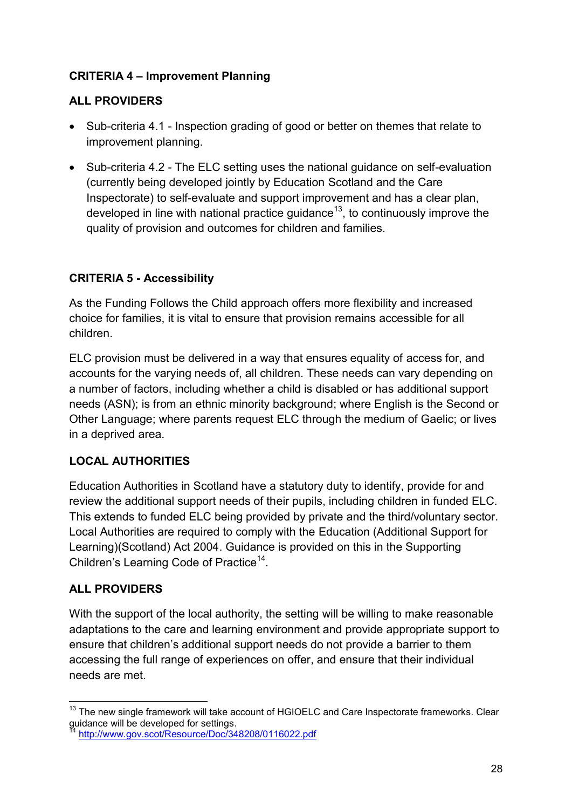# **CRITERIA 4 – Improvement Planning**

# **ALL PROVIDERS**

- Sub-criteria 4.1 Inspection grading of good or better on themes that relate to improvement planning.
- Sub-criteria 4.2 The ELC setting uses the national guidance on self-evaluation (currently being developed jointly by Education Scotland and the Care Inspectorate) to self-evaluate and support improvement and has a clear plan, developed in line with national practice guidance<sup>13</sup>, to continuously improve the quality of provision and outcomes for children and families.

# **CRITERIA 5 - Accessibility**

As the Funding Follows the Child approach offers more flexibility and increased choice for families, it is vital to ensure that provision remains accessible for all children.

ELC provision must be delivered in a way that ensures equality of access for, and accounts for the varying needs of, all children. These needs can vary depending on a number of factors, including whether a child is disabled or has additional support needs (ASN); is from an ethnic minority background; where English is the Second or Other Language; where parents request ELC through the medium of Gaelic; or lives in a deprived area.

# **LOCAL AUTHORITIES**

Education Authorities in Scotland have a statutory duty to identify, provide for and review the additional support needs of their pupils, including children in funded ELC. This extends to funded ELC being provided by private and the third/voluntary sector. Local Authorities are required to comply with the Education (Additional Support for Learning)(Scotland) Act 2004. Guidance is provided on this in the Supporting Children's Learning Code of Practice<sup>14</sup>.

# **ALL PROVIDERS**

With the support of the local authority, the setting will be willing to make reasonable adaptations to the care and learning environment and provide appropriate support to ensure that children's additional support needs do not provide a barrier to them accessing the full range of experiences on offer, and ensure that their individual needs are met.

 $\overline{a}$ <sup>13</sup> The new single framework will take account of HGIOELC and Care Inspectorate frameworks. Clear guidance will be developed for settings.

http://www.gov.scot/Resource/Doc/348208/0116022.pdf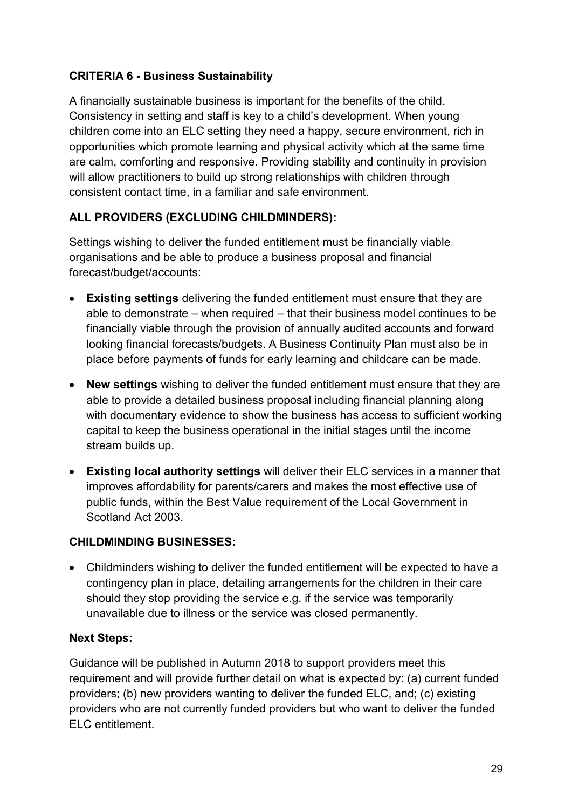# **CRITERIA 6 - Business Sustainability**

A financially sustainable business is important for the benefits of the child. Consistency in setting and staff is key to a child's development. When young children come into an ELC setting they need a happy, secure environment, rich in opportunities which promote learning and physical activity which at the same time are calm, comforting and responsive. Providing stability and continuity in provision will allow practitioners to build up strong relationships with children through consistent contact time, in a familiar and safe environment.

# **ALL PROVIDERS (EXCLUDING CHILDMINDERS):**

Settings wishing to deliver the funded entitlement must be financially viable organisations and be able to produce a business proposal and financial forecast/budget/accounts:

- **Existing settings** delivering the funded entitlement must ensure that they are able to demonstrate – when required – that their business model continues to be financially viable through the provision of annually audited accounts and forward looking financial forecasts/budgets. A Business Continuity Plan must also be in place before payments of funds for early learning and childcare can be made.
- **New settings** wishing to deliver the funded entitlement must ensure that they are able to provide a detailed business proposal including financial planning along with documentary evidence to show the business has access to sufficient working capital to keep the business operational in the initial stages until the income stream builds up.
- **Existing local authority settings** will deliver their ELC services in a manner that improves affordability for parents/carers and makes the most effective use of public funds, within the Best Value requirement of the Local Government in Scotland Act 2003.

#### **CHILDMINDING BUSINESSES:**

 Childminders wishing to deliver the funded entitlement will be expected to have a contingency plan in place, detailing arrangements for the children in their care should they stop providing the service e.g. if the service was temporarily unavailable due to illness or the service was closed permanently.

#### **Next Steps:**

Guidance will be published in Autumn 2018 to support providers meet this requirement and will provide further detail on what is expected by: (a) current funded providers; (b) new providers wanting to deliver the funded ELC, and; (c) existing providers who are not currently funded providers but who want to deliver the funded ELC entitlement.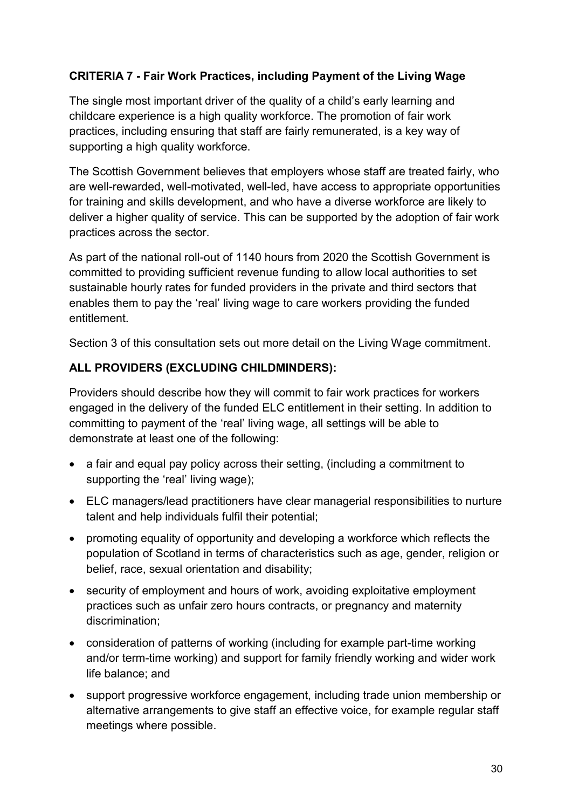# **CRITERIA 7 - Fair Work Practices, including Payment of the Living Wage**

The single most important driver of the quality of a child's early learning and childcare experience is a high quality workforce. The promotion of fair work practices, including ensuring that staff are fairly remunerated, is a key way of supporting a high quality workforce.

The Scottish Government believes that employers whose staff are treated fairly, who are well-rewarded, well-motivated, well-led, have access to appropriate opportunities for training and skills development, and who have a diverse workforce are likely to deliver a higher quality of service. This can be supported by the adoption of fair work practices across the sector.

As part of the national roll-out of 1140 hours from 2020 the Scottish Government is committed to providing sufficient revenue funding to allow local authorities to set sustainable hourly rates for funded providers in the private and third sectors that enables them to pay the 'real' living wage to care workers providing the funded entitlement.

Section 3 of this consultation sets out more detail on the Living Wage commitment.

#### **ALL PROVIDERS (EXCLUDING CHILDMINDERS):**

Providers should describe how they will commit to fair work practices for workers engaged in the delivery of the funded ELC entitlement in their setting. In addition to committing to payment of the 'real' living wage, all settings will be able to demonstrate at least one of the following:

- a fair and equal pay policy across their setting, (including a commitment to supporting the 'real' living wage);
- ELC managers/lead practitioners have clear managerial responsibilities to nurture talent and help individuals fulfil their potential;
- promoting equality of opportunity and developing a workforce which reflects the population of Scotland in terms of characteristics such as age, gender, religion or belief, race, sexual orientation and disability;
- security of employment and hours of work, avoiding exploitative employment practices such as unfair zero hours contracts, or pregnancy and maternity discrimination;
- consideration of patterns of working (including for example part-time working and/or term-time working) and support for family friendly working and wider work life balance; and
- support progressive workforce engagement, including trade union membership or alternative arrangements to give staff an effective voice, for example regular staff meetings where possible.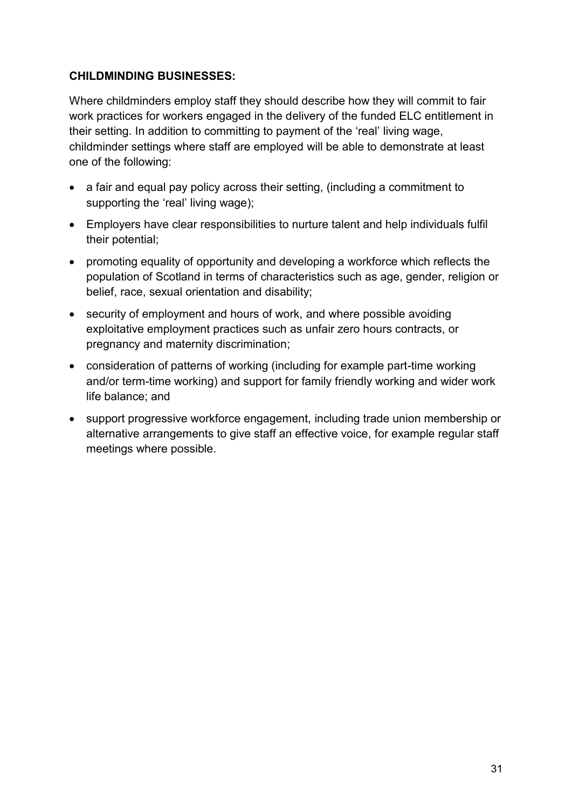#### **CHILDMINDING BUSINESSES:**

Where childminders employ staff they should describe how they will commit to fair work practices for workers engaged in the delivery of the funded ELC entitlement in their setting. In addition to committing to payment of the 'real' living wage, childminder settings where staff are employed will be able to demonstrate at least one of the following:

- a fair and equal pay policy across their setting, (including a commitment to supporting the 'real' living wage);
- Employers have clear responsibilities to nurture talent and help individuals fulfil their potential;
- promoting equality of opportunity and developing a workforce which reflects the population of Scotland in terms of characteristics such as age, gender, religion or belief, race, sexual orientation and disability;
- security of employment and hours of work, and where possible avoiding exploitative employment practices such as unfair zero hours contracts, or pregnancy and maternity discrimination;
- consideration of patterns of working (including for example part-time working and/or term-time working) and support for family friendly working and wider work life balance; and
- support progressive workforce engagement, including trade union membership or alternative arrangements to give staff an effective voice, for example regular staff meetings where possible.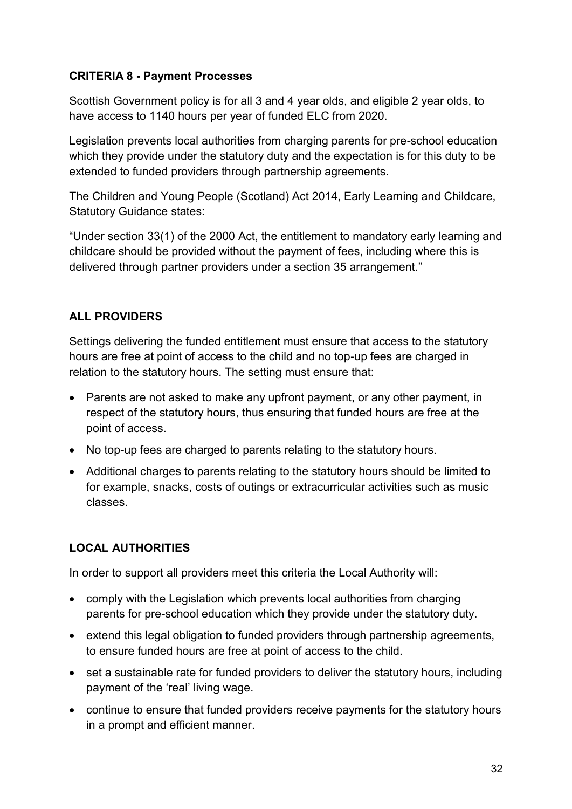# **CRITERIA 8 - Payment Processes**

Scottish Government policy is for all 3 and 4 year olds, and eligible 2 year olds, to have access to 1140 hours per year of funded ELC from 2020.

Legislation prevents local authorities from charging parents for pre-school education which they provide under the statutory duty and the expectation is for this duty to be extended to funded providers through partnership agreements.

The Children and Young People (Scotland) Act 2014, Early Learning and Childcare, Statutory Guidance states:

"Under section 33(1) of the 2000 Act, the entitlement to mandatory early learning and childcare should be provided without the payment of fees, including where this is delivered through partner providers under a section 35 arrangement."

# **ALL PROVIDERS**

Settings delivering the funded entitlement must ensure that access to the statutory hours are free at point of access to the child and no top-up fees are charged in relation to the statutory hours. The setting must ensure that:

- Parents are not asked to make any upfront payment, or any other payment, in respect of the statutory hours, thus ensuring that funded hours are free at the point of access.
- No top-up fees are charged to parents relating to the statutory hours.
- Additional charges to parents relating to the statutory hours should be limited to for example, snacks, costs of outings or extracurricular activities such as music classes.

# **LOCAL AUTHORITIES**

In order to support all providers meet this criteria the Local Authority will:

- comply with the Legislation which prevents local authorities from charging parents for pre-school education which they provide under the statutory duty.
- extend this legal obligation to funded providers through partnership agreements, to ensure funded hours are free at point of access to the child.
- set a sustainable rate for funded providers to deliver the statutory hours, including payment of the 'real' living wage.
- continue to ensure that funded providers receive payments for the statutory hours in a prompt and efficient manner.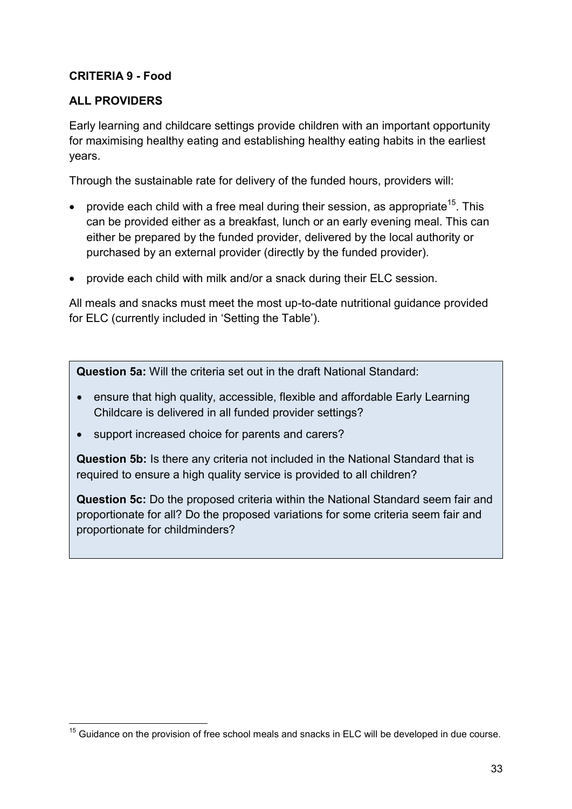# **CRITERIA 9 - Food**

# **ALL PROVIDERS**

Early learning and childcare settings provide children with an important opportunity for maximising healthy eating and establishing healthy eating habits in the earliest years.

Through the sustainable rate for delivery of the funded hours, providers will:

- **•** provide each child with a free meal during their session, as appropriate<sup>15</sup>. This can be provided either as a breakfast, lunch or an early evening meal. This can either be prepared by the funded provider, delivered by the local authority or purchased by an external provider (directly by the funded provider).
- provide each child with milk and/or a snack during their ELC session.

All meals and snacks must meet the most up-to-date nutritional guidance provided for ELC (currently included in 'Setting the Table').

**Question 5a:** Will the criteria set out in the draft National Standard:

- ensure that high quality, accessible, flexible and affordable Early Learning Childcare is delivered in all funded provider settings?
- support increased choice for parents and carers?

**Question 5b:** Is there any criteria not included in the National Standard that is required to ensure a high quality service is provided to all children?

**Question 5c:** Do the proposed criteria within the National Standard seem fair and proportionate for all? Do the proposed variations for some criteria seem fair and proportionate for childminders?

**<sup>.</sup>**  $15$  Guidance on the provision of free school meals and snacks in ELC will be developed in due course.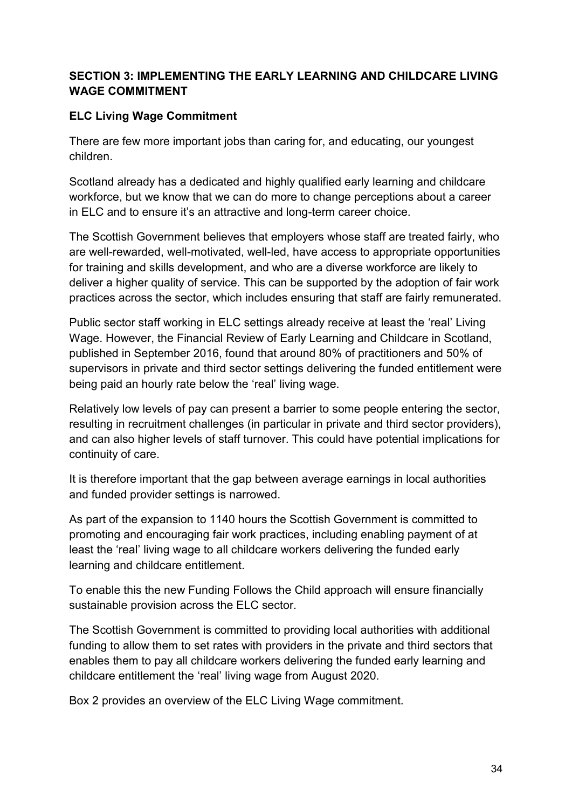# **SECTION 3: IMPLEMENTING THE EARLY LEARNING AND CHILDCARE LIVING WAGE COMMITMENT**

# **ELC Living Wage Commitment**

There are few more important jobs than caring for, and educating, our youngest children.

Scotland already has a dedicated and highly qualified early learning and childcare workforce, but we know that we can do more to change perceptions about a career in ELC and to ensure it's an attractive and long-term career choice.

The Scottish Government believes that employers whose staff are treated fairly, who are well-rewarded, well-motivated, well-led, have access to appropriate opportunities for training and skills development, and who are a diverse workforce are likely to deliver a higher quality of service. This can be supported by the adoption of fair work practices across the sector, which includes ensuring that staff are fairly remunerated.

Public sector staff working in ELC settings already receive at least the 'real' Living Wage. However, the [Financial Review](http://www.gov.scot/Resource/0050/00506148.pdf) of Early Learning and Childcare in Scotland, published in September 2016, found that around 80% of practitioners and 50% of supervisors in private and third sector settings delivering the funded entitlement were being paid an hourly rate below the 'real' living wage.

Relatively low levels of pay can present a barrier to some people entering the sector, resulting in recruitment challenges (in particular in private and third sector providers), and can also higher levels of staff turnover. This could have potential implications for continuity of care.

It is therefore important that the gap between average earnings in local authorities and funded provider settings is narrowed.

As part of the expansion to 1140 hours the Scottish Government is committed to promoting and encouraging fair work practices, including enabling payment of at least the 'real' living wage to all childcare workers delivering the funded early learning and childcare entitlement.

To enable this the new Funding Follows the Child approach will ensure financially sustainable provision across the ELC sector.

The Scottish Government is committed to providing local authorities with additional funding to allow them to set rates with providers in the private and third sectors that enables them to pay all childcare workers delivering the funded early learning and childcare entitlement the 'real' living wage from August 2020.

Box 2 provides an overview of the ELC Living Wage commitment.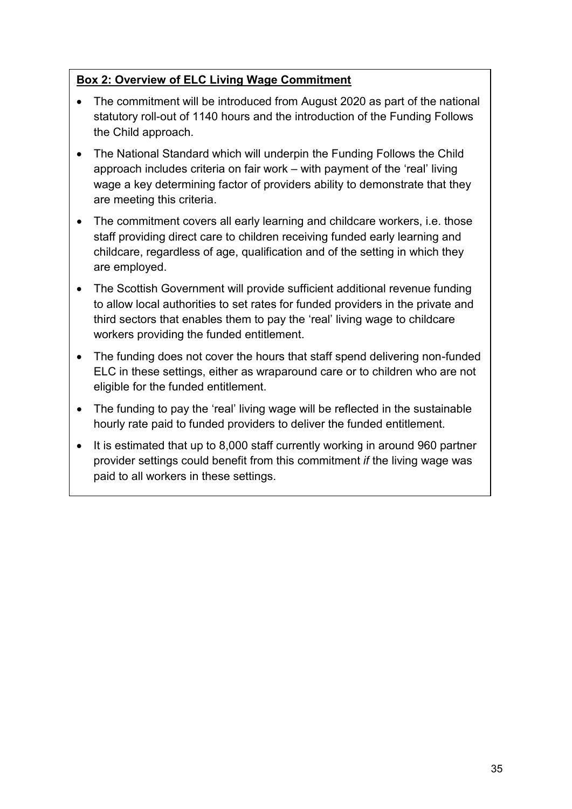# **Box 2: Overview of ELC Living Wage Commitment**

- The commitment will be introduced from August 2020 as part of the national statutory roll-out of 1140 hours and the introduction of the Funding Follows the Child approach.
- The National Standard which will underpin the Funding Follows the Child approach includes criteria on fair work – with payment of the 'real' living wage a key determining factor of providers ability to demonstrate that they are meeting this criteria.
- The commitment covers all early learning and childcare workers, i.e. those staff providing direct care to children receiving funded early learning and childcare, regardless of age, qualification and of the setting in which they are employed.
- The Scottish Government will provide sufficient additional revenue funding to allow local authorities to set rates for funded providers in the private and third sectors that enables them to pay the 'real' living wage to childcare workers providing the funded entitlement.
- The funding does not cover the hours that staff spend delivering non-funded ELC in these settings, either as wraparound care or to children who are not eligible for the funded entitlement.
- The funding to pay the 'real' living wage will be reflected in the sustainable hourly rate paid to funded providers to deliver the funded entitlement.
- It is estimated that up to 8,000 staff currently working in around 960 partner provider settings could benefit from this commitment *if* the living wage was paid to all workers in these settings.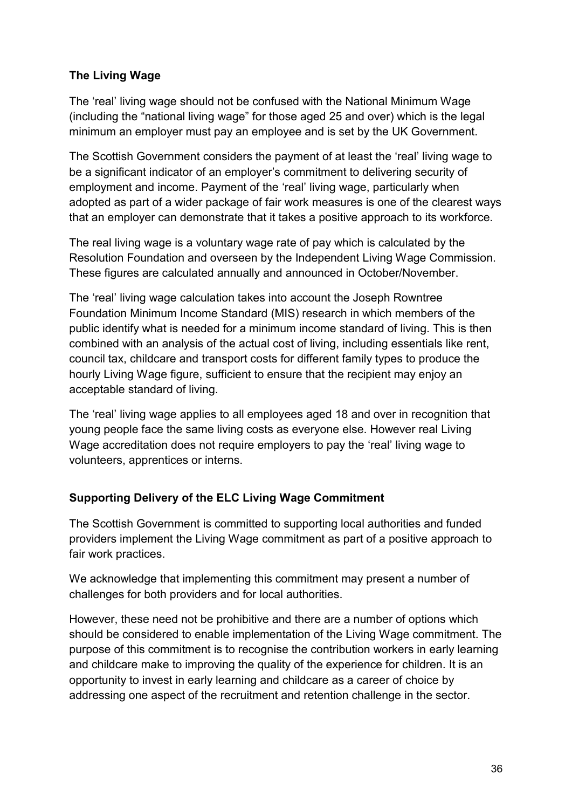# **The Living Wage**

The 'real' living wage should not be confused with the National Minimum Wage (including the "national living wage" for those aged 25 and over) which is the legal minimum an employer must pay an employee and is set by the UK Government.

The Scottish Government considers the payment of at least the 'real' living wage to be a significant indicator of an employer's commitment to delivering security of employment and income. Payment of the 'real' living wage, particularly when adopted as part of a wider package of fair work measures is one of the clearest ways that an employer can demonstrate that it takes a positive approach to its workforce.

The real living wage is a voluntary wage rate of pay which is calculated by the Resolution Foundation and overseen by the Independent Living Wage Commission. These figures are calculated annually and announced in October/November.

The 'real' living wage calculation takes into account the Joseph Rowntree Foundation Minimum Income Standard (MIS) research in which members of the public identify what is needed for a minimum income standard of living. This is then combined with an analysis of the actual cost of living, including essentials like rent, council tax, childcare and transport costs for different family types to produce the hourly Living Wage figure, sufficient to ensure that the recipient may enjoy an acceptable standard of living.

The 'real' living wage applies to all employees aged 18 and over in recognition that young people face the same living costs as everyone else. However real Living Wage accreditation does not require employers to pay the 'real' living wage to volunteers, apprentices or interns.

# **Supporting Delivery of the ELC Living Wage Commitment**

The Scottish Government is committed to supporting local authorities and funded providers implement the Living Wage commitment as part of a positive approach to fair work practices.

We acknowledge that implementing this commitment may present a number of challenges for both providers and for local authorities.

However, these need not be prohibitive and there are a number of options which should be considered to enable implementation of the Living Wage commitment. The purpose of this commitment is to recognise the contribution workers in early learning and childcare make to improving the quality of the experience for children. It is an opportunity to invest in early learning and childcare as a career of choice by addressing one aspect of the recruitment and retention challenge in the sector.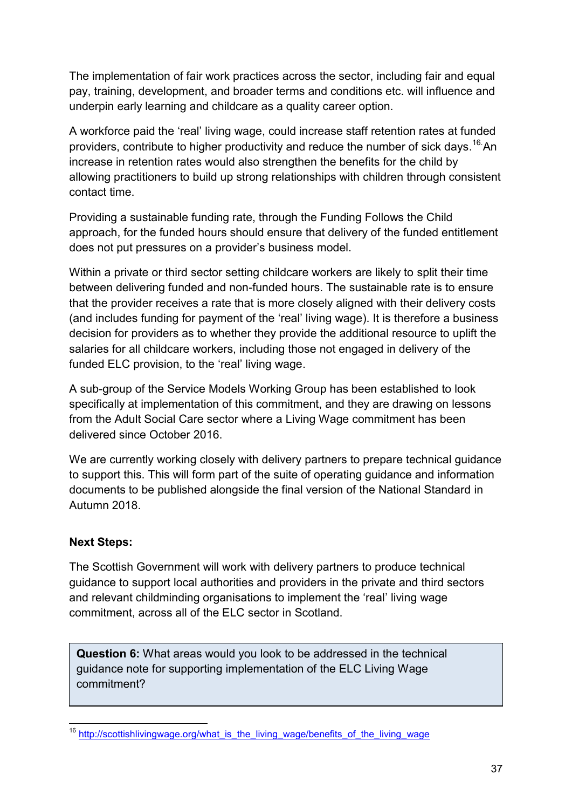The implementation of fair work practices across the sector, including fair and equal pay, training, development, and broader terms and conditions etc. will influence and underpin early learning and childcare as a quality career option.

A workforce paid the 'real' living wage, could increase staff retention rates at funded providers, contribute to higher productivity and reduce the number of sick days.<sup>16</sup> An increase in retention rates would also strengthen the benefits for the child by allowing practitioners to build up strong relationships with children through consistent contact time.

Providing a sustainable funding rate, through the Funding Follows the Child approach, for the funded hours should ensure that delivery of the funded entitlement does not put pressures on a provider's business model.

Within a private or third sector setting childcare workers are likely to split their time between delivering funded and non-funded hours. The sustainable rate is to ensure that the provider receives a rate that is more closely aligned with their delivery costs (and includes funding for payment of the 'real' living wage). It is therefore a business decision for providers as to whether they provide the additional resource to uplift the salaries for all childcare workers, including those not engaged in delivery of the funded ELC provision, to the 'real' living wage.

A sub-group of the Service Models Working Group has been established to look specifically at implementation of this commitment, and they are drawing on lessons from the Adult Social Care sector where a Living Wage commitment has been delivered since October 2016.

We are currently working closely with delivery partners to prepare technical guidance to support this. This will form part of the suite of operating guidance and information documents to be published alongside the final version of the National Standard in Autumn 2018.

# **Next Steps:**

The Scottish Government will work with delivery partners to produce technical guidance to support local authorities and providers in the private and third sectors and relevant childminding organisations to implement the 'real' living wage commitment, across all of the ELC sector in Scotland.

**Question 6:** What areas would you look to be addressed in the technical guidance note for supporting implementation of the ELC Living Wage commitment?

**<sup>.</sup>** <sup>16</sup> http://scottishlivingwage.org/what\_is\_the\_living\_wage/benefits\_of\_the\_living\_wage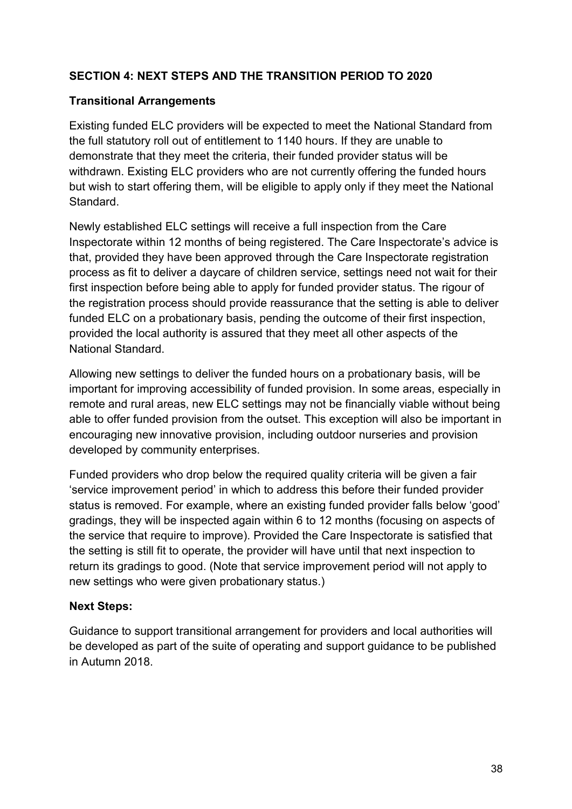# **SECTION 4: NEXT STEPS AND THE TRANSITION PERIOD TO 2020**

#### **Transitional Arrangements**

Existing funded ELC providers will be expected to meet the National Standard from the full statutory roll out of entitlement to 1140 hours. If they are unable to demonstrate that they meet the criteria, their funded provider status will be withdrawn. Existing ELC providers who are not currently offering the funded hours but wish to start offering them, will be eligible to apply only if they meet the National Standard.

Newly established ELC settings will receive a full inspection from the Care Inspectorate within 12 months of being registered. The Care Inspectorate's advice is that, provided they have been approved through the Care Inspectorate registration process as fit to deliver a daycare of children service, settings need not wait for their first inspection before being able to apply for funded provider status. The rigour of the registration process should provide reassurance that the setting is able to deliver funded ELC on a probationary basis, pending the outcome of their first inspection, provided the local authority is assured that they meet all other aspects of the National Standard.

Allowing new settings to deliver the funded hours on a probationary basis, will be important for improving accessibility of funded provision. In some areas, especially in remote and rural areas, new ELC settings may not be financially viable without being able to offer funded provision from the outset. This exception will also be important in encouraging new innovative provision, including outdoor nurseries and provision developed by community enterprises.

Funded providers who drop below the required quality criteria will be given a fair 'service improvement period' in which to address this before their funded provider status is removed. For example, where an existing funded provider falls below 'good' gradings, they will be inspected again within 6 to 12 months (focusing on aspects of the service that require to improve). Provided the Care Inspectorate is satisfied that the setting is still fit to operate, the provider will have until that next inspection to return its gradings to good. (Note that service improvement period will not apply to new settings who were given probationary status.)

#### **Next Steps:**

Guidance to support transitional arrangement for providers and local authorities will be developed as part of the suite of operating and support guidance to be published in Autumn 2018.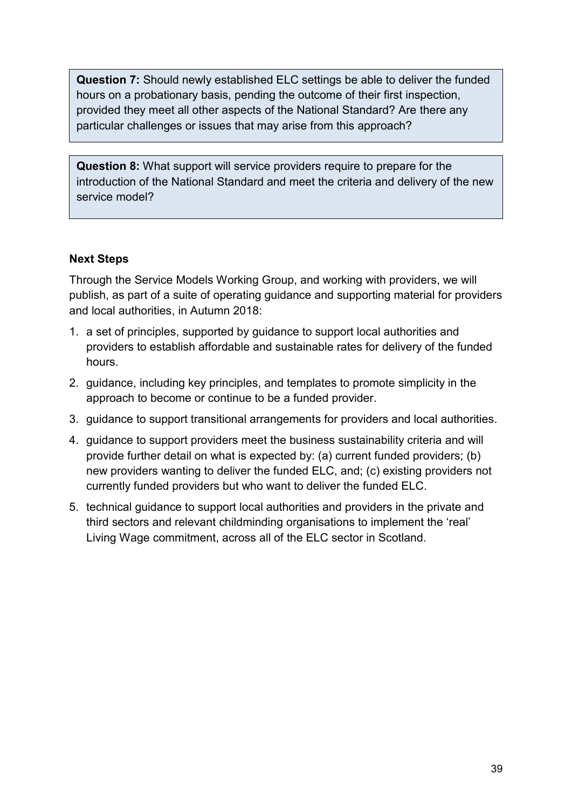**Question 7:** Should newly established ELC settings be able to deliver the funded hours on a probationary basis, pending the outcome of their first inspection, provided they meet all other aspects of the National Standard? Are there any particular challenges or issues that may arise from this approach?

**Question 8:** What support will service providers require to prepare for the introduction of the National Standard and meet the criteria and delivery of the new service model?

#### **Next Steps**

Through the Service Models Working Group, and working with providers, we will publish, as part of a suite of operating guidance and supporting material for providers and local authorities, in Autumn 2018:

- 1. a set of principles, supported by guidance to support local authorities and providers to establish affordable and sustainable rates for delivery of the funded hours.
- 2. guidance, including key principles, and templates to promote simplicity in the approach to become or continue to be a funded provider.
- 3. guidance to support transitional arrangements for providers and local authorities.
- 4. guidance to support providers meet the business sustainability criteria and will provide further detail on what is expected by: (a) current funded providers; (b) new providers wanting to deliver the funded ELC, and; (c) existing providers not currently funded providers but who want to deliver the funded ELC.
- 5. technical guidance to support local authorities and providers in the private and third sectors and relevant childminding organisations to implement the 'real' Living Wage commitment, across all of the ELC sector in Scotland.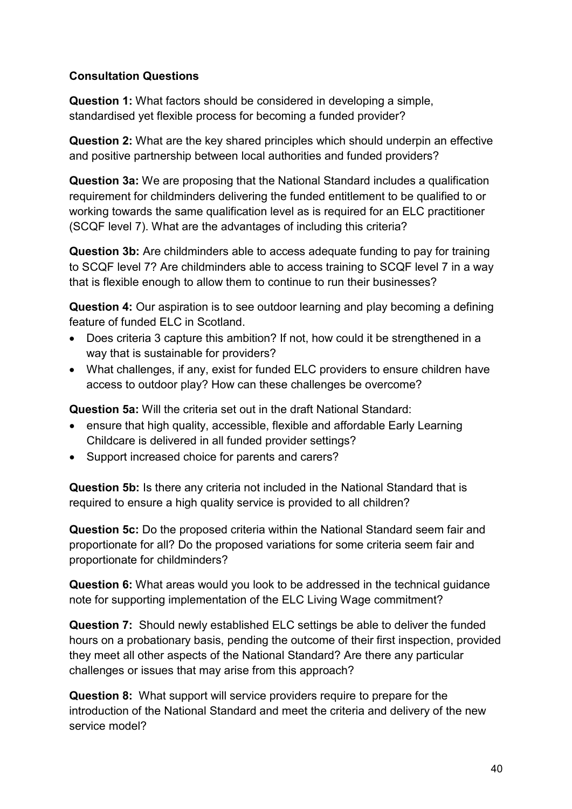# **Consultation Questions**

**Question 1:** What factors should be considered in developing a simple, standardised yet flexible process for becoming a funded provider?

**Question 2:** What are the key shared principles which should underpin an effective and positive partnership between local authorities and funded providers?

**Question 3a:** We are proposing that the National Standard includes a qualification requirement for childminders delivering the funded entitlement to be qualified to or working towards the same qualification level as is required for an ELC practitioner (SCQF level 7). What are the advantages of including this criteria?

**Question 3b:** Are childminders able to access adequate funding to pay for training to SCQF level 7? Are childminders able to access training to SCQF level 7 in a way that is flexible enough to allow them to continue to run their businesses?

**Question 4:** Our aspiration is to see outdoor learning and play becoming a defining feature of funded ELC in Scotland.

- Does criteria 3 capture this ambition? If not, how could it be strengthened in a way that is sustainable for providers?
- What challenges, if any, exist for funded ELC providers to ensure children have access to outdoor play? How can these challenges be overcome?

**Question 5a:** Will the criteria set out in the draft National Standard:

- ensure that high quality, accessible, flexible and affordable Early Learning Childcare is delivered in all funded provider settings?
- Support increased choice for parents and carers?

**Question 5b:** Is there any criteria not included in the National Standard that is required to ensure a high quality service is provided to all children?

**Question 5c:** Do the proposed criteria within the National Standard seem fair and proportionate for all? Do the proposed variations for some criteria seem fair and proportionate for childminders?

**Question 6:** What areas would you look to be addressed in the technical guidance note for supporting implementation of the ELC Living Wage commitment?

**Question 7:** Should newly established ELC settings be able to deliver the funded hours on a probationary basis, pending the outcome of their first inspection, provided they meet all other aspects of the National Standard? Are there any particular challenges or issues that may arise from this approach?

**Question 8:** What support will service providers require to prepare for the introduction of the National Standard and meet the criteria and delivery of the new service model?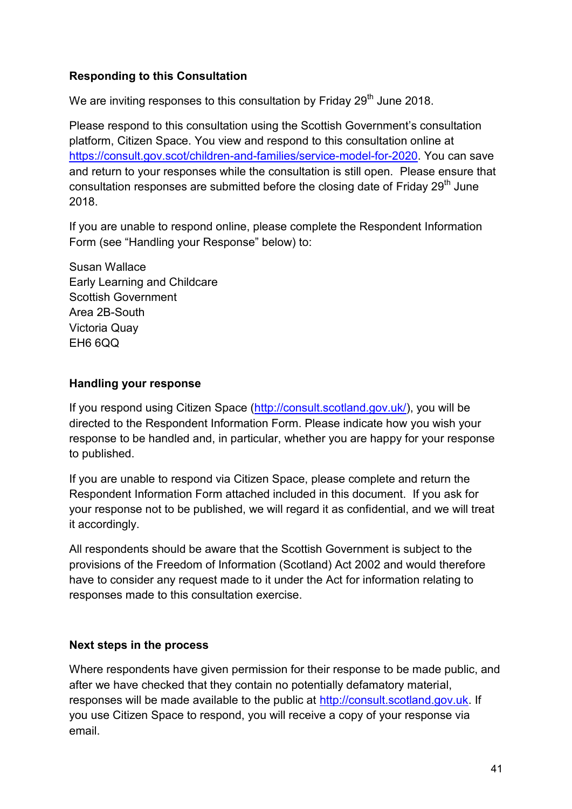# **Responding to this Consultation**

We are inviting responses to this consultation by Friday  $29<sup>th</sup>$  June 2018.

Please respond to this consultation using the Scottish Government's consultation platform, Citizen Space. You view and respond to this consultation online at [https://consult.gov.scot/children-and-families/service-model-for-2020.](https://consult.gov.scot/children-and-families/service-model-for-2020) You can save and return to your responses while the consultation is still open. Please ensure that consultation responses are submitted before the closing date of Friday  $29<sup>th</sup>$  June 2018.

If you are unable to respond online, please complete the Respondent Information Form (see "Handling your Response" below) to:

Susan Wallace Early Learning and Childcare Scottish Government Area 2B-South Victoria Quay EH6 6QQ

# **Handling your response**

If you respond using Citizen Space [\(http://consult.scotland.gov.uk/\)](http://consult.scotland.gov.uk/), you will be directed to the Respondent Information Form. Please indicate how you wish your response to be handled and, in particular, whether you are happy for your response to published.

If you are unable to respond via Citizen Space, please complete and return the Respondent Information Form attached included in this document. If you ask for your response not to be published, we will regard it as confidential, and we will treat it accordingly.

All respondents should be aware that the Scottish Government is subject to the provisions of the Freedom of Information (Scotland) Act 2002 and would therefore have to consider any request made to it under the Act for information relating to responses made to this consultation exercise.

#### **Next steps in the process**

Where respondents have given permission for their response to be made public, and after we have checked that they contain no potentially defamatory material, responses will be made available to the public at [http://consult.scotland.gov.uk.](http://consult.scotland.gov.uk/) If you use Citizen Space to respond, you will receive a copy of your response via email.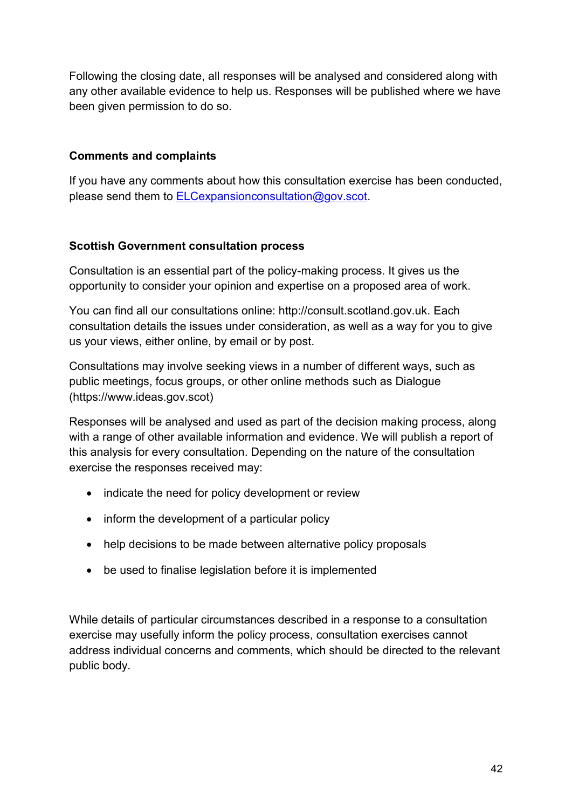Following the closing date, all responses will be analysed and considered along with any other available evidence to help us. Responses will be published where we have been given permission to do so.

# **Comments and complaints**

If you have any comments about how this consultation exercise has been conducted, please send them to [ELCexpansionconsultation@gov.scot.](mailto:ELCexpansionconsultation@gov.scot)

#### **Scottish Government consultation process**

Consultation is an essential part of the policy-making process. It gives us the opportunity to consider your opinion and expertise on a proposed area of work.

You can find all our consultations online: http://consult.scotland.gov.uk. Each consultation details the issues under consideration, as well as a way for you to give us your views, either online, by email or by post.

Consultations may involve seeking views in a number of different ways, such as public meetings, focus groups, or other online methods such as Dialogue (https://www.ideas.gov.scot)

Responses will be analysed and used as part of the decision making process, along with a range of other available information and evidence. We will publish a report of this analysis for every consultation. Depending on the nature of the consultation exercise the responses received may:

- indicate the need for policy development or review
- inform the development of a particular policy
- help decisions to be made between alternative policy proposals
- be used to finalise legislation before it is implemented

While details of particular circumstances described in a response to a consultation exercise may usefully inform the policy process, consultation exercises cannot address individual concerns and comments, which should be directed to the relevant public body.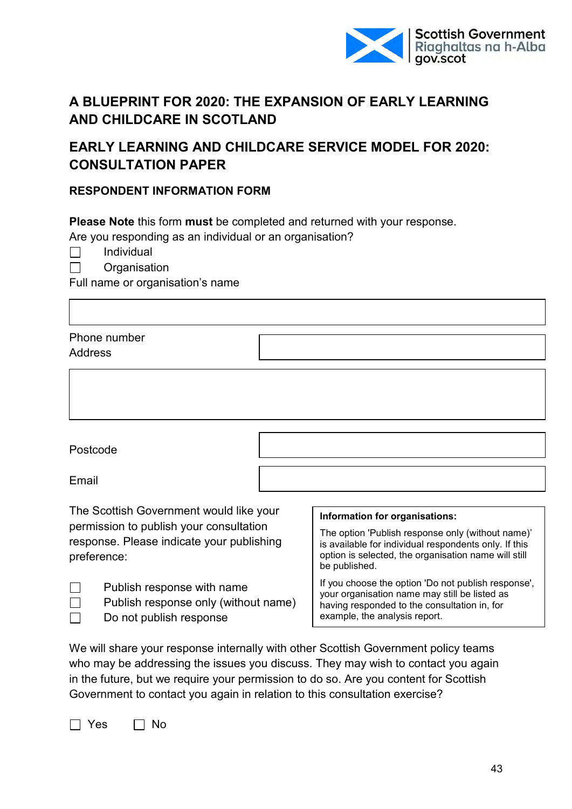

# **A BLUEPRINT FOR 2020: THE EXPANSION OF EARLY LEARNING AND CHILDCARE IN SCOTLAND**

# **EARLY LEARNING AND CHILDCARE SERVICE MODEL FOR 2020: CONSULTATION PAPER**

#### **RESPONDENT INFORMATION FORM**

**Please Note** this form **must** be completed and returned with your response.

Are you responding as an individual or an organisation?

Individual П

П

**Organisation** 

Full name or organisation's name

| Phone number |  |  |
|--------------|--|--|
| Address      |  |  |
|              |  |  |

Postcode

Email

 $\Box$  $\Box$ 

The Scottish Government would like your permission to publish your consultation response. Please indicate your publishing preference:

 $\Box$ Publish response with name

Publish response only (without name)

Do not publish response

#### **Information for organisations:**

The option 'Publish response only (without name)' is available for individual respondents only. If this option is selected, the organisation name will still be published.

If you choose the option 'Do not publish response', your organisation name may still be listed as having responded to the consultation in, for example, the analysis report.

We will share your response internally with other Scottish Government policy teams who may be addressing the issues you discuss. They may wish to contact you again in the future, but we require your permission to do so. Are you content for Scottish Government to contact you again in relation to this consultation exercise?

 $\Box$  Yes  $\Box$  No